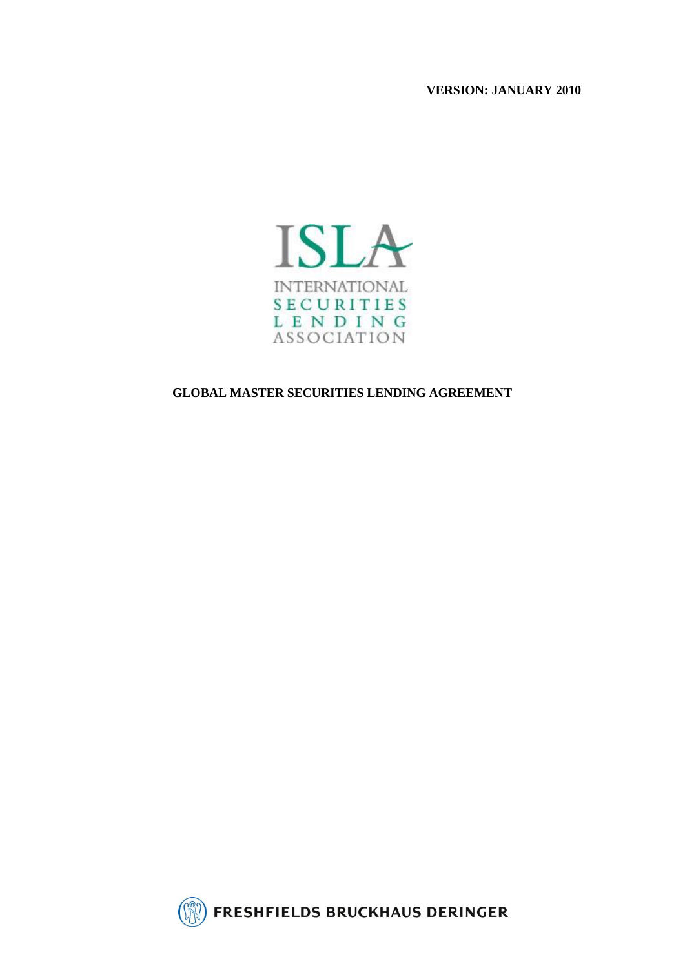**VERSION: JANUARY 2010**



## **GLOBAL MASTER SECURITIES LENDING AGREEMENT**

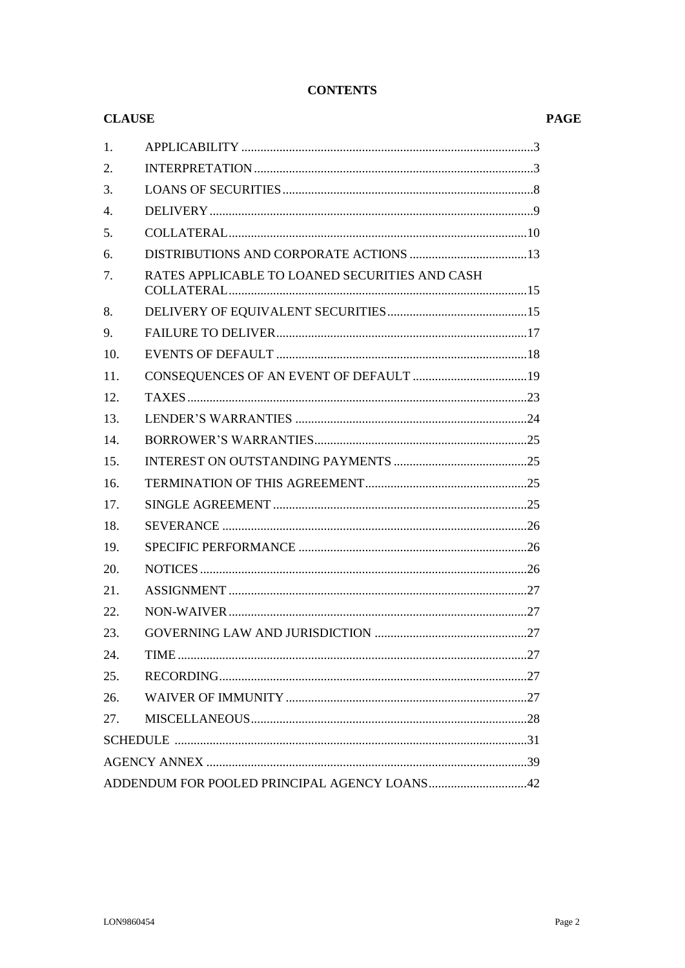| COLLATERAL (10) |
|-----------------|
|                 |
|                 |
|                 |
|                 |
|                 |
|                 |
|                 |
|                 |
|                 |
|                 |
|                 |
|                 |
|                 |
|                 |
|                 |
|                 |
|                 |
|                 |
|                 |
|                 |
|                 |
|                 |
|                 |
|                 |
|                 |
|                 |

## **CONTENTS**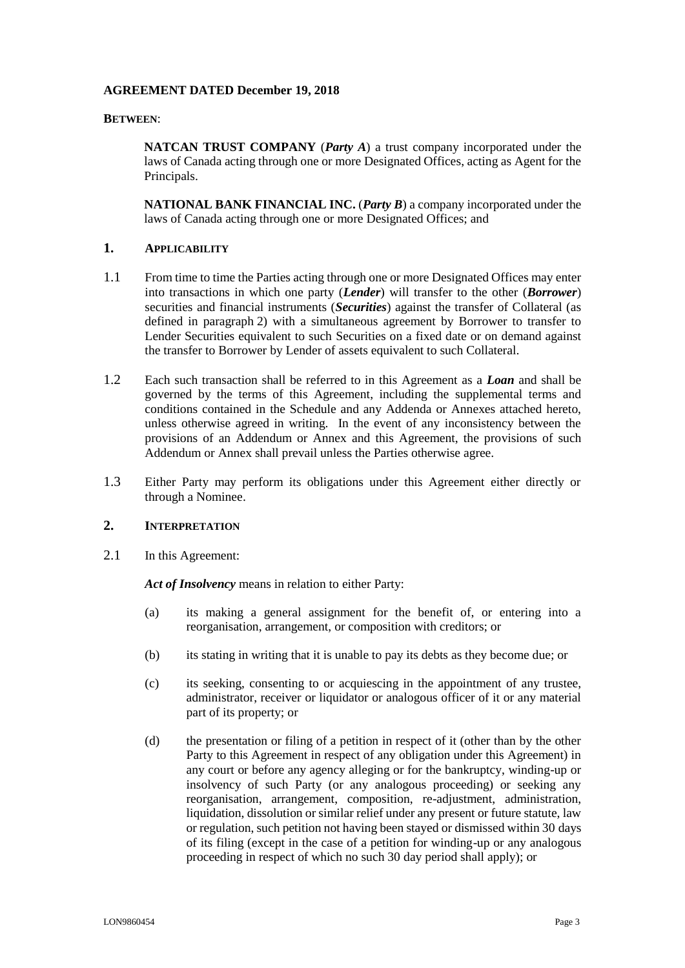#### **AGREEMENT DATED December 19, 2018**

#### **BETWEEN**:

**NATCAN TRUST COMPANY** (*Party A*) a trust company incorporated under the laws of Canada acting through one or more Designated Offices, acting as Agent for the Principals.

**NATIONAL BANK FINANCIAL INC.** (*Party B*) a company incorporated under the laws of Canada acting through one or more Designated Offices; and

## <span id="page-2-0"></span>**1. APPLICABILITY**

- 1.1 From time to time the Parties acting through one or more Designated Offices may enter into transactions in which one party (*Lender*) will transfer to the other (*Borrower*) securities and financial instruments (*Securities*) against the transfer of Collateral (as defined in paragraph [2\)](#page-2-1) with a simultaneous agreement by Borrower to transfer to Lender Securities equivalent to such Securities on a fixed date or on demand against the transfer to Borrower by Lender of assets equivalent to such Collateral.
- 1.2 Each such transaction shall be referred to in this Agreement as a *Loan* and shall be governed by the terms of this Agreement, including the supplemental terms and conditions contained in the Schedule and any Addenda or Annexes attached hereto, unless otherwise agreed in writing. In the event of any inconsistency between the provisions of an Addendum or Annex and this Agreement, the provisions of such Addendum or Annex shall prevail unless the Parties otherwise agree.
- <span id="page-2-2"></span>1.3 Either Party may perform its obligations under this Agreement either directly or through a Nominee.

## <span id="page-2-1"></span>**2. INTERPRETATION**

2.1 In this Agreement:

*Act of Insolvency* means in relation to either Party:

- (a) its making a general assignment for the benefit of, or entering into a reorganisation, arrangement, or composition with creditors; or
- (b) its stating in writing that it is unable to pay its debts as they become due; or
- (c) its seeking, consenting to or acquiescing in the appointment of any trustee, administrator, receiver or liquidator or analogous officer of it or any material part of its property; or
- (d) the presentation or filing of a petition in respect of it (other than by the other Party to this Agreement in respect of any obligation under this Agreement) in any court or before any agency alleging or for the bankruptcy, winding-up or insolvency of such Party (or any analogous proceeding) or seeking any reorganisation, arrangement, composition, re-adjustment, administration, liquidation, dissolution or similar relief under any present or future statute, law or regulation, such petition not having been stayed or dismissed within 30 days of its filing (except in the case of a petition for winding-up or any analogous proceeding in respect of which no such 30 day period shall apply); or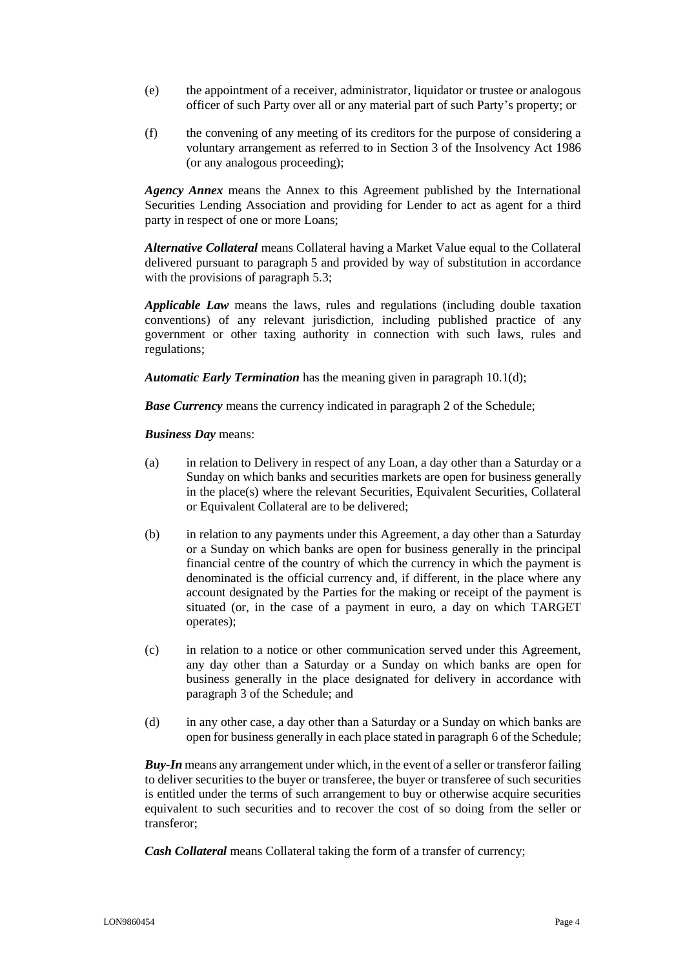- (e) the appointment of a receiver, administrator, liquidator or trustee or analogous officer of such Party over all or any material part of such Party's property; or
- (f) the convening of any meeting of its creditors for the purpose of considering a voluntary arrangement as referred to in Section 3 of the Insolvency Act 1986 (or any analogous proceeding);

*Agency Annex* means the Annex to this Agreement published by the International Securities Lending Association and providing for Lender to act as agent for a third party in respect of one or more Loans;

*Alternative Collateral* means Collateral having a Market Value equal to the Collateral delivered pursuant to paragraph [5](#page-9-0) and provided by way of substitution in accordance with the provisions of paragraph [5.3;](#page-9-1)

*Applicable Law* means the laws, rules and regulations (including double taxation conventions) of any relevant jurisdiction, including published practice of any government or other taxing authority in connection with such laws, rules and regulations;

*Automatic Early Termination* has the meaning given in paragraph [10.1\(d\);](#page-17-1)

**Base Currency** means the currency indicated in paragraph [2](#page-31-0) of the Schedule;

*Business Day* means:

- (a) in relation to Delivery in respect of any Loan, a day other than a Saturday or a Sunday on which banks and securities markets are open for business generally in the place(s) where the relevant Securities, Equivalent Securities, Collateral or Equivalent Collateral are to be delivered;
- (b) in relation to any payments under this Agreement, a day other than a Saturday or a Sunday on which banks are open for business generally in the principal financial centre of the country of which the currency in which the payment is denominated is the official currency and, if different, in the place where any account designated by the Parties for the making or receipt of the payment is situated (or, in the case of a payment in euro, a day on which TARGET operates);
- (c) in relation to a notice or other communication served under this Agreement, any day other than a Saturday or a Sunday on which banks are open for business generally in the place designated for delivery in accordance with paragraph [3](#page-31-1) of the Schedule; and
- (d) in any other case, a day other than a Saturday or a Sunday on which banks are open for business generally in each place stated in paragraph [6](#page-31-2) of the Schedule;

*Buy-In* means any arrangement under which, in the event of a seller or transferor failing to deliver securities to the buyer or transferee, the buyer or transferee of such securities is entitled under the terms of such arrangement to buy or otherwise acquire securities equivalent to such securities and to recover the cost of so doing from the seller or transferor;

*Cash Collateral* means Collateral taking the form of a transfer of currency;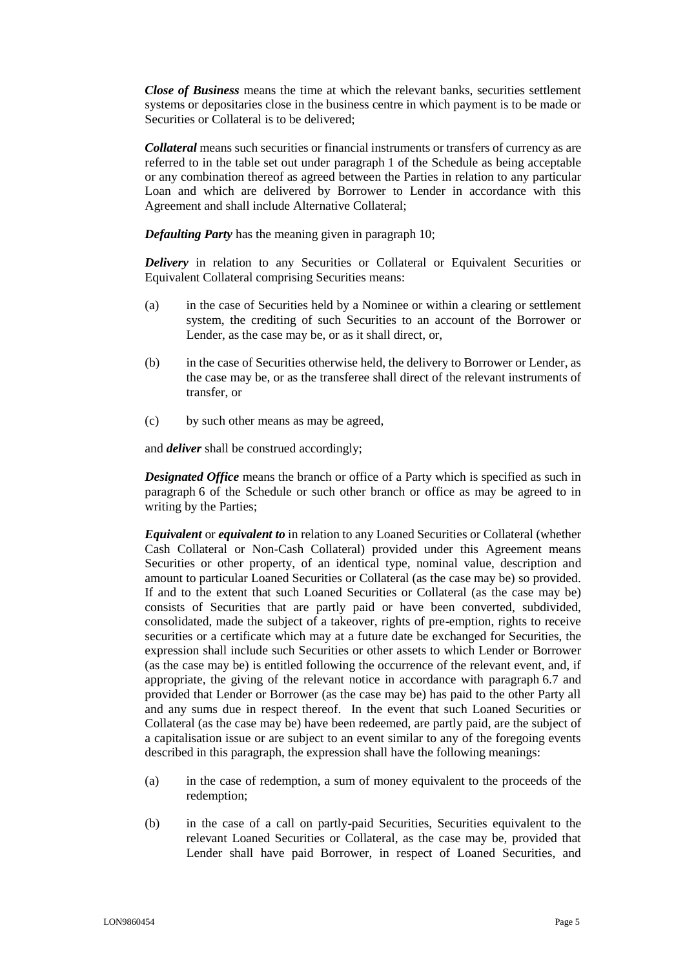*Close of Business* means the time at which the relevant banks, securities settlement systems or depositaries close in the business centre in which payment is to be made or Securities or Collateral is to be delivered;

*Collateral* means such securities or financial instruments or transfers of currency as are referred to in the table set out under paragraph [1](#page-30-1) of the Schedule as being acceptable or any combination thereof as agreed between the Parties in relation to any particular Loan and which are delivered by Borrower to Lender in accordance with this Agreement and shall include Alternative Collateral;

*Defaulting Party* has the meaning given in paragraph [10;](#page-17-0)

*Delivery* in relation to any Securities or Collateral or Equivalent Securities or Equivalent Collateral comprising Securities means:

- (a) in the case of Securities held by a Nominee or within a clearing or settlement system, the crediting of such Securities to an account of the Borrower or Lender, as the case may be, or as it shall direct, or,
- (b) in the case of Securities otherwise held, the delivery to Borrower or Lender, as the case may be, or as the transferee shall direct of the relevant instruments of transfer, or
- (c) by such other means as may be agreed,

and *deliver* shall be construed accordingly;

*Designated Office* means the branch or office of a Party which is specified as such in paragraph [6](#page-31-2) of the Schedule or such other branch or office as may be agreed to in writing by the Parties;

*Equivalent* or *equivalent to* in relation to any Loaned Securities or Collateral (whether Cash Collateral or Non-Cash Collateral) provided under this Agreement means Securities or other property, of an identical type, nominal value, description and amount to particular Loaned Securities or Collateral (as the case may be) so provided. If and to the extent that such Loaned Securities or Collateral (as the case may be) consists of Securities that are partly paid or have been converted, subdivided, consolidated, made the subject of a takeover, rights of pre-emption, rights to receive securities or a certificate which may at a future date be exchanged for Securities, the expression shall include such Securities or other assets to which Lender or Borrower (as the case may be) is entitled following the occurrence of the relevant event, and, if appropriate, the giving of the relevant notice in accordance with paragraph [6.7](#page-14-2) and provided that Lender or Borrower (as the case may be) has paid to the other Party all and any sums due in respect thereof. In the event that such Loaned Securities or Collateral (as the case may be) have been redeemed, are partly paid, are the subject of a capitalisation issue or are subject to an event similar to any of the foregoing events described in this paragraph, the expression shall have the following meanings:

- (a) in the case of redemption, a sum of money equivalent to the proceeds of the redemption;
- (b) in the case of a call on partly-paid Securities, Securities equivalent to the relevant Loaned Securities or Collateral, as the case may be, provided that Lender shall have paid Borrower, in respect of Loaned Securities, and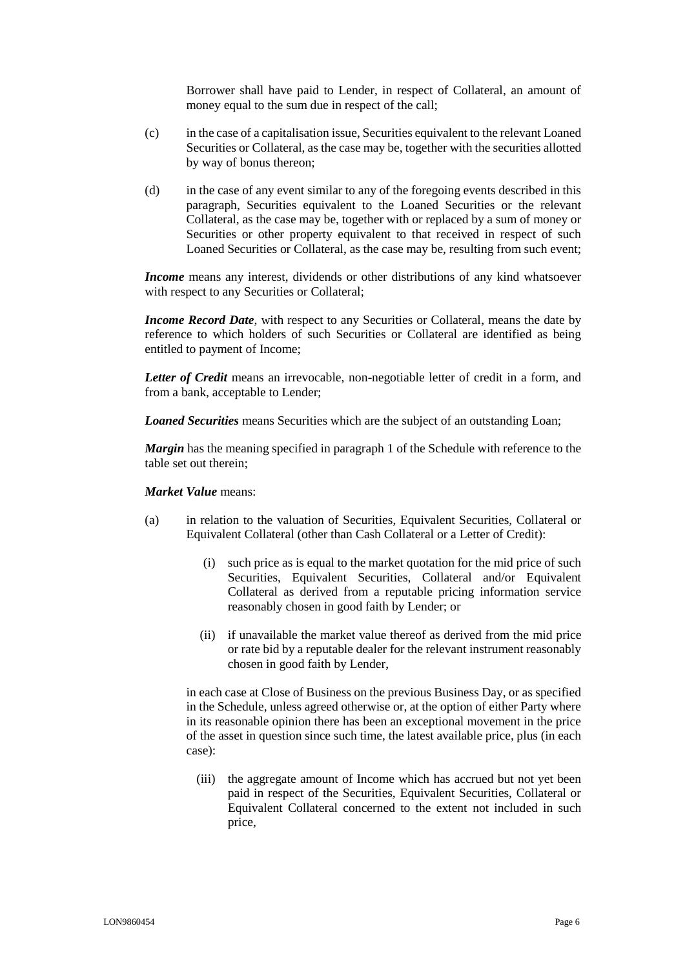Borrower shall have paid to Lender, in respect of Collateral, an amount of money equal to the sum due in respect of the call;

- (c) in the case of a capitalisation issue, Securities equivalent to the relevant Loaned Securities or Collateral, as the case may be, together with the securities allotted by way of bonus thereon;
- (d) in the case of any event similar to any of the foregoing events described in this paragraph, Securities equivalent to the Loaned Securities or the relevant Collateral, as the case may be, together with or replaced by a sum of money or Securities or other property equivalent to that received in respect of such Loaned Securities or Collateral, as the case may be, resulting from such event;

*Income* means any interest, dividends or other distributions of any kind whatsoever with respect to any Securities or Collateral;

*Income Record Date*, with respect to any Securities or Collateral, means the date by reference to which holders of such Securities or Collateral are identified as being entitled to payment of Income;

*Letter of Credit* means an irrevocable, non-negotiable letter of credit in a form, and from a bank, acceptable to Lender;

*Loaned Securities* means Securities which are the subject of an outstanding Loan;

*Margin* has the meaning specified in paragraph [1](#page-30-1) of the Schedule with reference to the table set out therein;

#### *Market Value* means:

- (a) in relation to the valuation of Securities, Equivalent Securities, Collateral or Equivalent Collateral (other than Cash Collateral or a Letter of Credit):
	- (i) such price as is equal to the market quotation for the mid price of such Securities, Equivalent Securities, Collateral and/or Equivalent Collateral as derived from a reputable pricing information service reasonably chosen in good faith by Lender; or
	- (ii) if unavailable the market value thereof as derived from the mid price or rate bid by a reputable dealer for the relevant instrument reasonably chosen in good faith by Lender,

in each case at Close of Business on the previous Business Day, or as specified in the Schedule, unless agreed otherwise or, at the option of either Party where in its reasonable opinion there has been an exceptional movement in the price of the asset in question since such time, the latest available price, plus (in each case):

(iii) the aggregate amount of Income which has accrued but not yet been paid in respect of the Securities, Equivalent Securities, Collateral or Equivalent Collateral concerned to the extent not included in such price,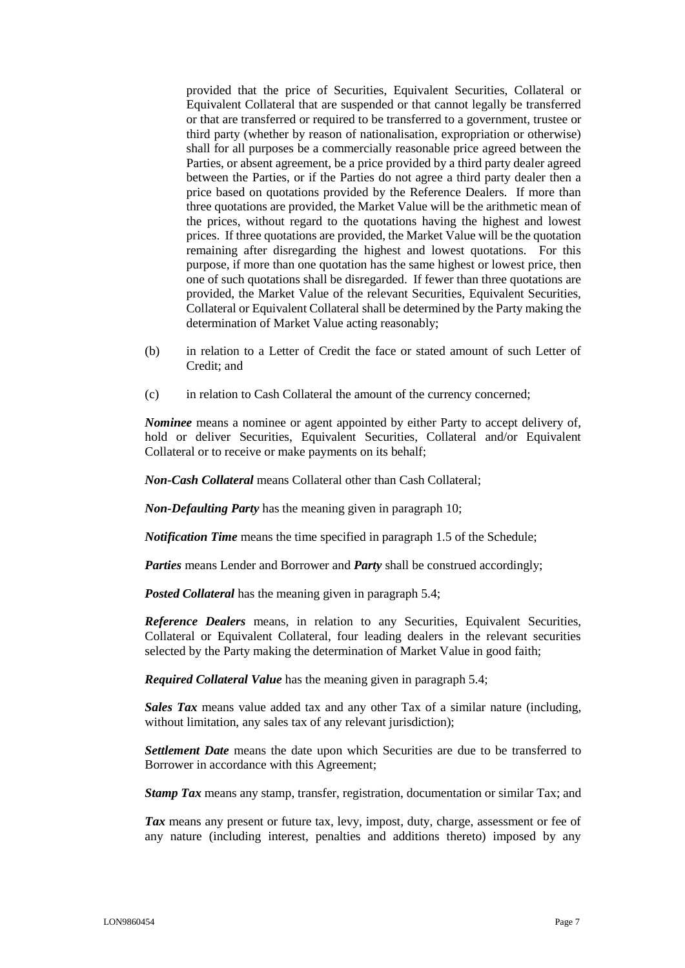provided that the price of Securities, Equivalent Securities, Collateral or Equivalent Collateral that are suspended or that cannot legally be transferred or that are transferred or required to be transferred to a government, trustee or third party (whether by reason of nationalisation, expropriation or otherwise) shall for all purposes be a commercially reasonable price agreed between the Parties, or absent agreement, be a price provided by a third party dealer agreed between the Parties, or if the Parties do not agree a third party dealer then a price based on quotations provided by the Reference Dealers. If more than three quotations are provided, the Market Value will be the arithmetic mean of the prices, without regard to the quotations having the highest and lowest prices. If three quotations are provided, the Market Value will be the quotation remaining after disregarding the highest and lowest quotations. For this purpose, if more than one quotation has the same highest or lowest price, then one of such quotations shall be disregarded. If fewer than three quotations are provided, the Market Value of the relevant Securities, Equivalent Securities, Collateral or Equivalent Collateral shall be determined by the Party making the determination of Market Value acting reasonably;

- (b) in relation to a Letter of Credit the face or stated amount of such Letter of Credit; and
- (c) in relation to Cash Collateral the amount of the currency concerned;

*Nominee* means a nominee or agent appointed by either Party to accept delivery of, hold or deliver Securities, Equivalent Securities, Collateral and/or Equivalent Collateral or to receive or make payments on its behalf;

*Non-Cash Collateral* means Collateral other than Cash Collateral;

*Non-Defaulting Party* has the meaning given in paragraph [10;](#page-17-0)

*Notification Time* means the time specified in paragraph 1.5 of the Schedule;

*Parties* means Lender and Borrower and *Party* shall be construed accordingly;

*Posted Collateral* has the meaning given in paragraph [5.4;](#page-10-0)

*Reference Dealers* means, in relation to any Securities, Equivalent Securities, Collateral or Equivalent Collateral, four leading dealers in the relevant securities selected by the Party making the determination of Market Value in good faith;

*Required Collateral Value* has the meaning given in paragraph [5.4;](#page-10-0)

*Sales Tax* means value added tax and any other Tax of a similar nature (including, without limitation, any sales tax of any relevant jurisdiction);

*Settlement Date* means the date upon which Securities are due to be transferred to Borrower in accordance with this Agreement;

**Stamp Tax** means any stamp, transfer, registration, documentation or similar Tax; and

*Tax* means any present or future tax, levy, impost, duty, charge, assessment or fee of any nature (including interest, penalties and additions thereto) imposed by any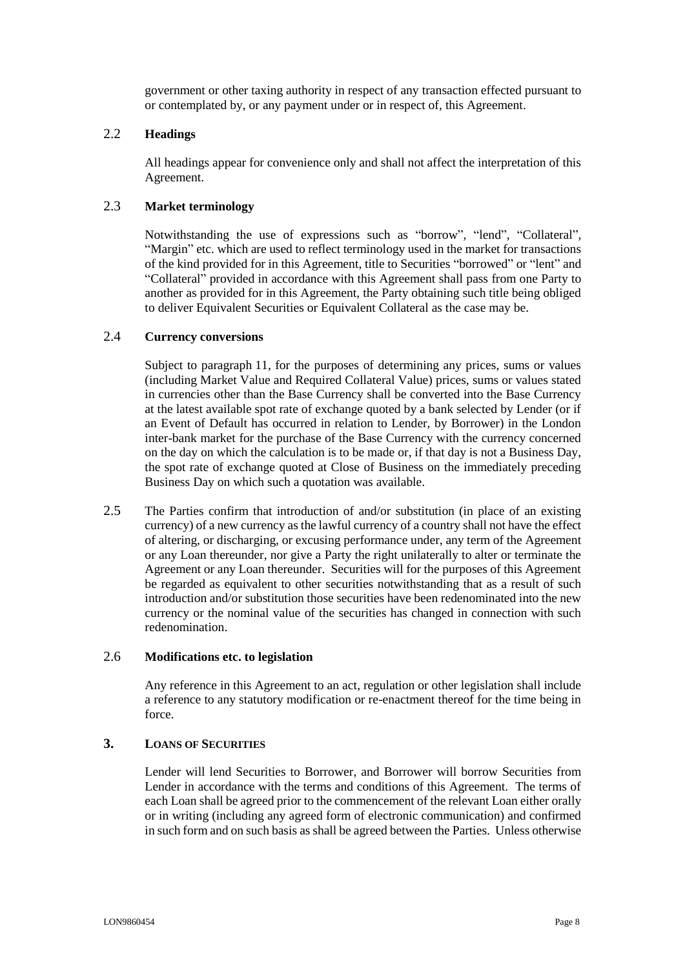government or other taxing authority in respect of any transaction effected pursuant to or contemplated by, or any payment under or in respect of, this Agreement.

## 2.2 **Headings**

All headings appear for convenience only and shall not affect the interpretation of this Agreement.

## 2.3 **Market terminology**

Notwithstanding the use of expressions such as "borrow", "lend", "Collateral", "Margin" etc. which are used to reflect terminology used in the market for transactions of the kind provided for in this Agreement, title to Securities "borrowed" or "lent" and "Collateral" provided in accordance with this Agreement shall pass from one Party to another as provided for in this Agreement, the Party obtaining such title being obliged to deliver Equivalent Securities or Equivalent Collateral as the case may be.

## 2.4 **Currency conversions**

Subject to paragraph [11,](#page-18-0) for the purposes of determining any prices, sums or values (including Market Value and Required Collateral Value) prices, sums or values stated in currencies other than the Base Currency shall be converted into the Base Currency at the latest available spot rate of exchange quoted by a bank selected by Lender (or if an Event of Default has occurred in relation to Lender, by Borrower) in the London inter-bank market for the purchase of the Base Currency with the currency concerned on the day on which the calculation is to be made or, if that day is not a Business Day, the spot rate of exchange quoted at Close of Business on the immediately preceding Business Day on which such a quotation was available.

2.5 The Parties confirm that introduction of and/or substitution (in place of an existing currency) of a new currency as the lawful currency of a country shall not have the effect of altering, or discharging, or excusing performance under, any term of the Agreement or any Loan thereunder, nor give a Party the right unilaterally to alter or terminate the Agreement or any Loan thereunder. Securities will for the purposes of this Agreement be regarded as equivalent to other securities notwithstanding that as a result of such introduction and/or substitution those securities have been redenominated into the new currency or the nominal value of the securities has changed in connection with such redenomination.

#### 2.6 **Modifications etc. to legislation**

Any reference in this Agreement to an act, regulation or other legislation shall include a reference to any statutory modification or re-enactment thereof for the time being in force.

## <span id="page-7-0"></span>**3. LOANS OF SECURITIES**

Lender will lend Securities to Borrower, and Borrower will borrow Securities from Lender in accordance with the terms and conditions of this Agreement. The terms of each Loan shall be agreed prior to the commencement of the relevant Loan either orally or in writing (including any agreed form of electronic communication) and confirmed in such form and on such basis as shall be agreed between the Parties. Unless otherwise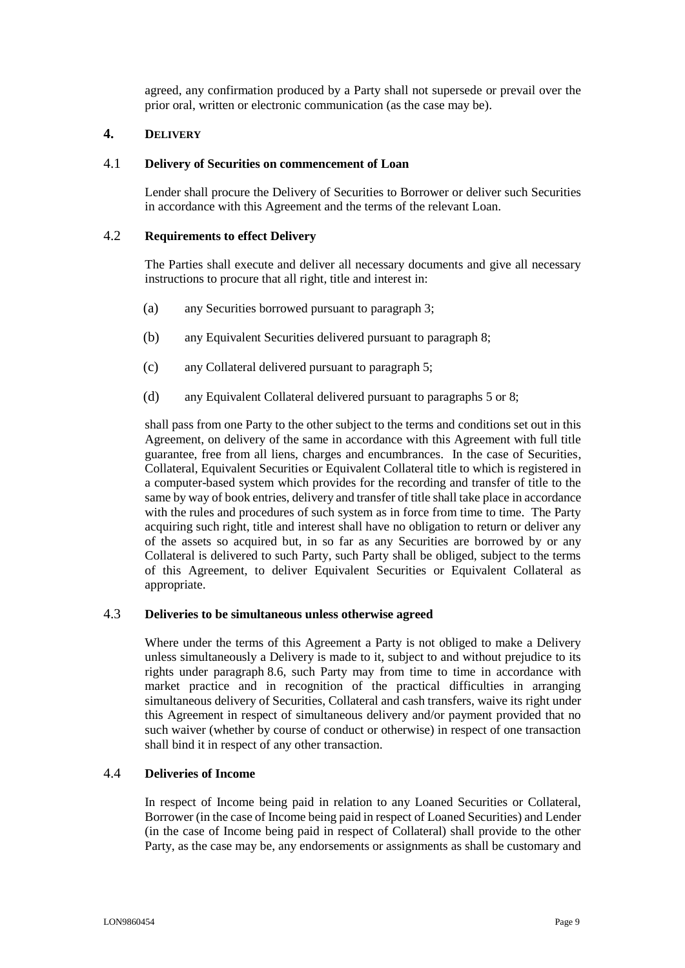agreed, any confirmation produced by a Party shall not supersede or prevail over the prior oral, written or electronic communication (as the case may be).

## <span id="page-8-0"></span>**4. DELIVERY**

#### 4.1 **Delivery of Securities on commencement of Loan**

Lender shall procure the Delivery of Securities to Borrower or deliver such Securities in accordance with this Agreement and the terms of the relevant Loan.

#### 4.2 **Requirements to effect Delivery**

The Parties shall execute and deliver all necessary documents and give all necessary instructions to procure that all right, title and interest in:

- (a) any Securities borrowed pursuant to paragraph [3;](#page-7-0)
- (b) any Equivalent Securities delivered pursuant to paragraph [8;](#page-14-1)
- (c) any Collateral delivered pursuant to paragraph [5;](#page-9-0)
- (d) any Equivalent Collateral delivered pursuant to paragraphs [5](#page-9-0) or [8;](#page-14-1)

shall pass from one Party to the other subject to the terms and conditions set out in this Agreement, on delivery of the same in accordance with this Agreement with full title guarantee, free from all liens, charges and encumbrances. In the case of Securities, Collateral, Equivalent Securities or Equivalent Collateral title to which is registered in a computer-based system which provides for the recording and transfer of title to the same by way of book entries, delivery and transfer of title shall take place in accordance with the rules and procedures of such system as in force from time to time. The Party acquiring such right, title and interest shall have no obligation to return or deliver any of the assets so acquired but, in so far as any Securities are borrowed by or any Collateral is delivered to such Party, such Party shall be obliged, subject to the terms of this Agreement, to deliver Equivalent Securities or Equivalent Collateral as appropriate.

## 4.3 **Deliveries to be simultaneous unless otherwise agreed**

Where under the terms of this Agreement a Party is not obliged to make a Delivery unless simultaneously a Delivery is made to it, subject to and without prejudice to its rights under paragraph [8.6,](#page-15-0) such Party may from time to time in accordance with market practice and in recognition of the practical difficulties in arranging simultaneous delivery of Securities, Collateral and cash transfers, waive its right under this Agreement in respect of simultaneous delivery and/or payment provided that no such waiver (whether by course of conduct or otherwise) in respect of one transaction shall bind it in respect of any other transaction.

## 4.4 **Deliveries of Income**

In respect of Income being paid in relation to any Loaned Securities or Collateral, Borrower (in the case of Income being paid in respect of Loaned Securities) and Lender (in the case of Income being paid in respect of Collateral) shall provide to the other Party, as the case may be, any endorsements or assignments as shall be customary and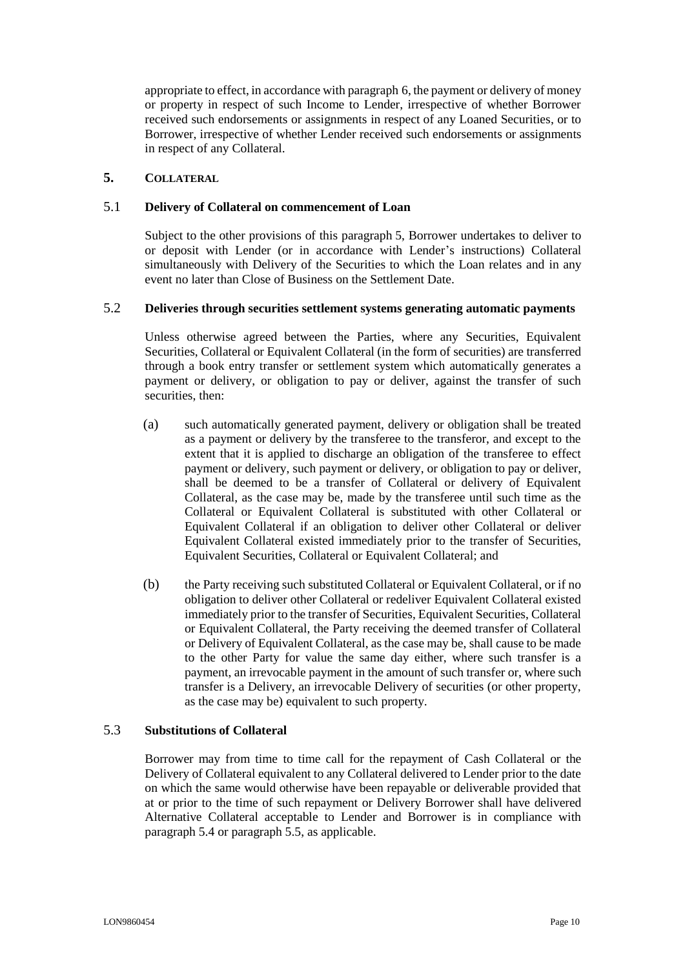appropriate to effect, in accordance with paragraph [6,](#page-12-0) the payment or delivery of money or property in respect of such Income to Lender, irrespective of whether Borrower received such endorsements or assignments in respect of any Loaned Securities, or to Borrower, irrespective of whether Lender received such endorsements or assignments in respect of any Collateral.

## <span id="page-9-0"></span>**5. COLLATERAL**

## <span id="page-9-2"></span>5.1 **Delivery of Collateral on commencement of Loan**

Subject to the other provisions of this paragraph [5,](#page-9-0) Borrower undertakes to deliver to or deposit with Lender (or in accordance with Lender's instructions) Collateral simultaneously with Delivery of the Securities to which the Loan relates and in any event no later than Close of Business on the Settlement Date.

## 5.2 **Deliveries through securities settlement systems generating automatic payments**

Unless otherwise agreed between the Parties, where any Securities, Equivalent Securities, Collateral or Equivalent Collateral (in the form of securities) are transferred through a book entry transfer or settlement system which automatically generates a payment or delivery, or obligation to pay or deliver, against the transfer of such securities, then:

- (a) such automatically generated payment, delivery or obligation shall be treated as a payment or delivery by the transferee to the transferor, and except to the extent that it is applied to discharge an obligation of the transferee to effect payment or delivery, such payment or delivery, or obligation to pay or deliver, shall be deemed to be a transfer of Collateral or delivery of Equivalent Collateral, as the case may be, made by the transferee until such time as the Collateral or Equivalent Collateral is substituted with other Collateral or Equivalent Collateral if an obligation to deliver other Collateral or deliver Equivalent Collateral existed immediately prior to the transfer of Securities, Equivalent Securities, Collateral or Equivalent Collateral; and
- (b) the Party receiving such substituted Collateral or Equivalent Collateral, or if no obligation to deliver other Collateral or redeliver Equivalent Collateral existed immediately prior to the transfer of Securities, Equivalent Securities, Collateral or Equivalent Collateral, the Party receiving the deemed transfer of Collateral or Delivery of Equivalent Collateral, as the case may be, shall cause to be made to the other Party for value the same day either, where such transfer is a payment, an irrevocable payment in the amount of such transfer or, where such transfer is a Delivery, an irrevocable Delivery of securities (or other property, as the case may be) equivalent to such property.

### <span id="page-9-1"></span>5.3 **Substitutions of Collateral**

Borrower may from time to time call for the repayment of Cash Collateral or the Delivery of Collateral equivalent to any Collateral delivered to Lender prior to the date on which the same would otherwise have been repayable or deliverable provided that at or prior to the time of such repayment or Delivery Borrower shall have delivered Alternative Collateral acceptable to Lender and Borrower is in compliance with paragraph [5.4](#page-10-0) or paragraph [5.5,](#page-10-1) as applicable.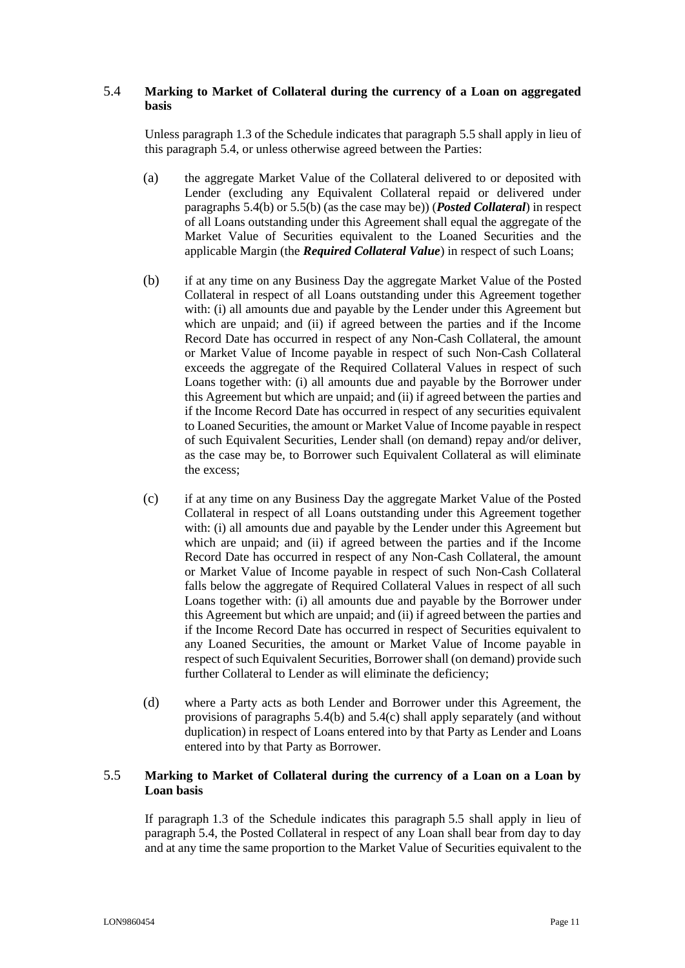## <span id="page-10-0"></span>5.4 **Marking to Market of Collateral during the currency of a Loan on aggregated basis**

Unless paragraph 1.3 of the Schedule indicates that paragraph [5.5](#page-10-1) shall apply in lieu of this paragraph [5.4,](#page-10-0) or unless otherwise agreed between the Parties:

- (a) the aggregate Market Value of the Collateral delivered to or deposited with Lender (excluding any Equivalent Collateral repaid or delivered under paragraphs [5.4\(b\)](#page-10-2) or [5.5\(b\)](#page-11-0) (as the case may be)) (*Posted Collateral*) in respect of all Loans outstanding under this Agreement shall equal the aggregate of the Market Value of Securities equivalent to the Loaned Securities and the applicable Margin (the *Required Collateral Value*) in respect of such Loans;
- <span id="page-10-2"></span>(b) if at any time on any Business Day the aggregate Market Value of the Posted Collateral in respect of all Loans outstanding under this Agreement together with: (i) all amounts due and payable by the Lender under this Agreement but which are unpaid; and (ii) if agreed between the parties and if the Income Record Date has occurred in respect of any Non-Cash Collateral, the amount or Market Value of Income payable in respect of such Non-Cash Collateral exceeds the aggregate of the Required Collateral Values in respect of such Loans together with: (i) all amounts due and payable by the Borrower under this Agreement but which are unpaid; and (ii) if agreed between the parties and if the Income Record Date has occurred in respect of any securities equivalent to Loaned Securities, the amount or Market Value of Income payable in respect of such Equivalent Securities, Lender shall (on demand) repay and/or deliver, as the case may be, to Borrower such Equivalent Collateral as will eliminate the excess;
- <span id="page-10-3"></span>(c) if at any time on any Business Day the aggregate Market Value of the Posted Collateral in respect of all Loans outstanding under this Agreement together with: (i) all amounts due and payable by the Lender under this Agreement but which are unpaid; and (ii) if agreed between the parties and if the Income Record Date has occurred in respect of any Non-Cash Collateral, the amount or Market Value of Income payable in respect of such Non-Cash Collateral falls below the aggregate of Required Collateral Values in respect of all such Loans together with: (i) all amounts due and payable by the Borrower under this Agreement but which are unpaid; and (ii) if agreed between the parties and if the Income Record Date has occurred in respect of Securities equivalent to any Loaned Securities, the amount or Market Value of Income payable in respect of such Equivalent Securities, Borrower shall (on demand) provide such further Collateral to Lender as will eliminate the deficiency;
- (d) where a Party acts as both Lender and Borrower under this Agreement, the provisions of paragraphs [5.4\(b\)](#page-10-2) and [5.4\(c\)](#page-10-3) shall apply separately (and without duplication) in respect of Loans entered into by that Party as Lender and Loans entered into by that Party as Borrower.

## <span id="page-10-1"></span>5.5 **Marking to Market of Collateral during the currency of a Loan on a Loan by Loan basis**

If paragraph [1.3](#page-2-2) of the Schedule indicates this paragraph [5.5](#page-10-1) shall apply in lieu of paragraph [5.4,](#page-10-0) the Posted Collateral in respect of any Loan shall bear from day to day and at any time the same proportion to the Market Value of Securities equivalent to the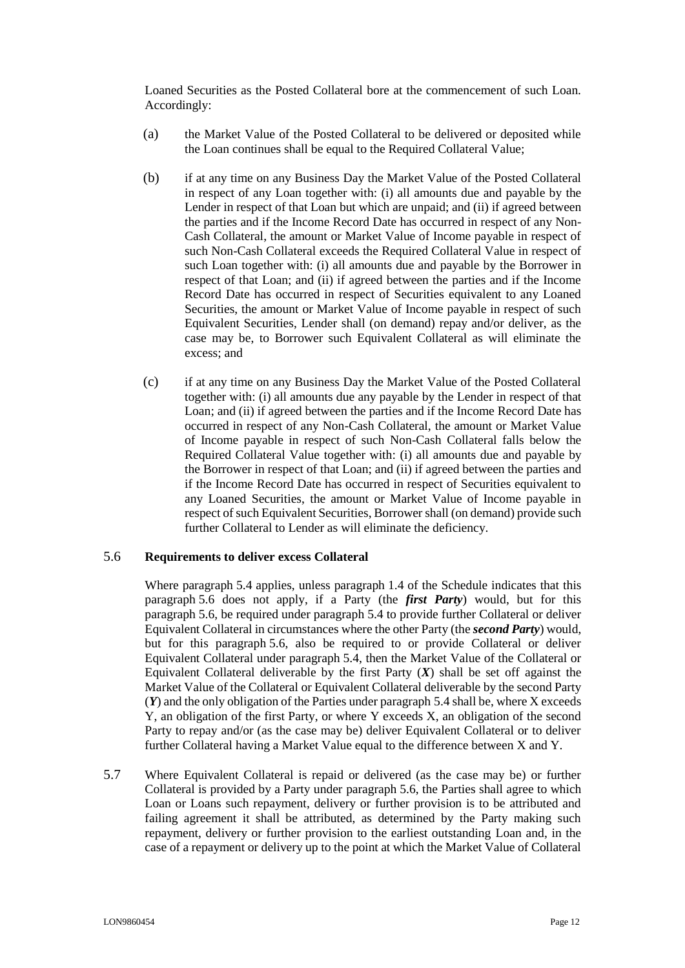Loaned Securities as the Posted Collateral bore at the commencement of such Loan. Accordingly:

- (a) the Market Value of the Posted Collateral to be delivered or deposited while the Loan continues shall be equal to the Required Collateral Value;
- <span id="page-11-0"></span>(b) if at any time on any Business Day the Market Value of the Posted Collateral in respect of any Loan together with: (i) all amounts due and payable by the Lender in respect of that Loan but which are unpaid; and (ii) if agreed between the parties and if the Income Record Date has occurred in respect of any Non-Cash Collateral, the amount or Market Value of Income payable in respect of such Non-Cash Collateral exceeds the Required Collateral Value in respect of such Loan together with: (i) all amounts due and payable by the Borrower in respect of that Loan; and (ii) if agreed between the parties and if the Income Record Date has occurred in respect of Securities equivalent to any Loaned Securities, the amount or Market Value of Income payable in respect of such Equivalent Securities, Lender shall (on demand) repay and/or deliver, as the case may be, to Borrower such Equivalent Collateral as will eliminate the excess; and
- (c) if at any time on any Business Day the Market Value of the Posted Collateral together with: (i) all amounts due any payable by the Lender in respect of that Loan; and (ii) if agreed between the parties and if the Income Record Date has occurred in respect of any Non-Cash Collateral, the amount or Market Value of Income payable in respect of such Non-Cash Collateral falls below the Required Collateral Value together with: (i) all amounts due and payable by the Borrower in respect of that Loan; and (ii) if agreed between the parties and if the Income Record Date has occurred in respect of Securities equivalent to any Loaned Securities, the amount or Market Value of Income payable in respect of such Equivalent Securities, Borrower shall (on demand) provide such further Collateral to Lender as will eliminate the deficiency.

#### <span id="page-11-1"></span>5.6 **Requirements to deliver excess Collateral**

Where paragraph [5.4](#page-10-0) applies, unless paragraph [1.4](#page-31-3) of the Schedule indicates that this paragraph [5.6](#page-11-1) does not apply, if a Party (the *first Party*) would, but for this paragraph [5.6,](#page-11-1) be required under paragraph [5.4](#page-10-0) to provide further Collateral or deliver Equivalent Collateral in circumstances where the other Party (the *second Party*) would, but for this paragraph [5.6,](#page-11-1) also be required to or provide Collateral or deliver Equivalent Collateral under paragraph [5.4,](#page-10-0) then the Market Value of the Collateral or Equivalent Collateral deliverable by the first Party  $(X)$  shall be set off against the Market Value of the Collateral or Equivalent Collateral deliverable by the second Party (*Y*) and the only obligation of the Parties under paragraph [5.4](#page-10-0) shall be, where X exceeds Y, an obligation of the first Party, or where Y exceeds X, an obligation of the second Party to repay and/or (as the case may be) deliver Equivalent Collateral or to deliver further Collateral having a Market Value equal to the difference between X and Y.

5.7 Where Equivalent Collateral is repaid or delivered (as the case may be) or further Collateral is provided by a Party under paragraph [5.6,](#page-11-1) the Parties shall agree to which Loan or Loans such repayment, delivery or further provision is to be attributed and failing agreement it shall be attributed, as determined by the Party making such repayment, delivery or further provision to the earliest outstanding Loan and, in the case of a repayment or delivery up to the point at which the Market Value of Collateral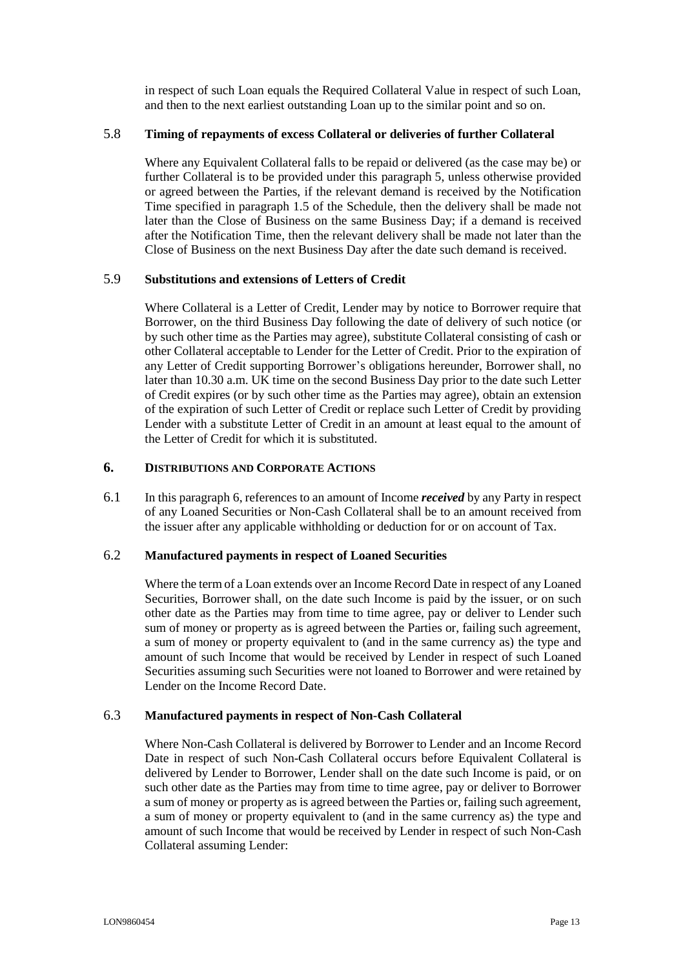in respect of such Loan equals the Required Collateral Value in respect of such Loan, and then to the next earliest outstanding Loan up to the similar point and so on.

## <span id="page-12-3"></span>5.8 **Timing of repayments of excess Collateral or deliveries of further Collateral**

Where any Equivalent Collateral falls to be repaid or delivered (as the case may be) or further Collateral is to be provided under this paragraph [5,](#page-9-0) unless otherwise provided or agreed between the Parties, if the relevant demand is received by the Notification Time specified in paragraph [1.5](#page-31-4) of the Schedule, then the delivery shall be made not later than the Close of Business on the same Business Day; if a demand is received after the Notification Time, then the relevant delivery shall be made not later than the Close of Business on the next Business Day after the date such demand is received.

## 5.9 **Substitutions and extensions of Letters of Credit**

Where Collateral is a Letter of Credit, Lender may by notice to Borrower require that Borrower, on the third Business Day following the date of delivery of such notice (or by such other time as the Parties may agree), substitute Collateral consisting of cash or other Collateral acceptable to Lender for the Letter of Credit. Prior to the expiration of any Letter of Credit supporting Borrower's obligations hereunder, Borrower shall, no later than 10.30 a.m. UK time on the second Business Day prior to the date such Letter of Credit expires (or by such other time as the Parties may agree), obtain an extension of the expiration of such Letter of Credit or replace such Letter of Credit by providing Lender with a substitute Letter of Credit in an amount at least equal to the amount of the Letter of Credit for which it is substituted.

## <span id="page-12-0"></span>**6. DISTRIBUTIONS AND CORPORATE ACTIONS**

6.1 In this paragraph [6,](#page-12-0) references to an amount of Income *received* by any Party in respect of any Loaned Securities or Non-Cash Collateral shall be to an amount received from the issuer after any applicable withholding or deduction for or on account of Tax.

#### <span id="page-12-2"></span>6.2 **Manufactured payments in respect of Loaned Securities**

Where the term of a Loan extends over an Income Record Date in respect of any Loaned Securities, Borrower shall, on the date such Income is paid by the issuer, or on such other date as the Parties may from time to time agree, pay or deliver to Lender such sum of money or property as is agreed between the Parties or, failing such agreement, a sum of money or property equivalent to (and in the same currency as) the type and amount of such Income that would be received by Lender in respect of such Loaned Securities assuming such Securities were not loaned to Borrower and were retained by Lender on the Income Record Date.

## <span id="page-12-1"></span>6.3 **Manufactured payments in respect of Non-Cash Collateral**

Where Non-Cash Collateral is delivered by Borrower to Lender and an Income Record Date in respect of such Non-Cash Collateral occurs before Equivalent Collateral is delivered by Lender to Borrower, Lender shall on the date such Income is paid, or on such other date as the Parties may from time to time agree, pay or deliver to Borrower a sum of money or property as is agreed between the Parties or, failing such agreement, a sum of money or property equivalent to (and in the same currency as) the type and amount of such Income that would be received by Lender in respect of such Non-Cash Collateral assuming Lender: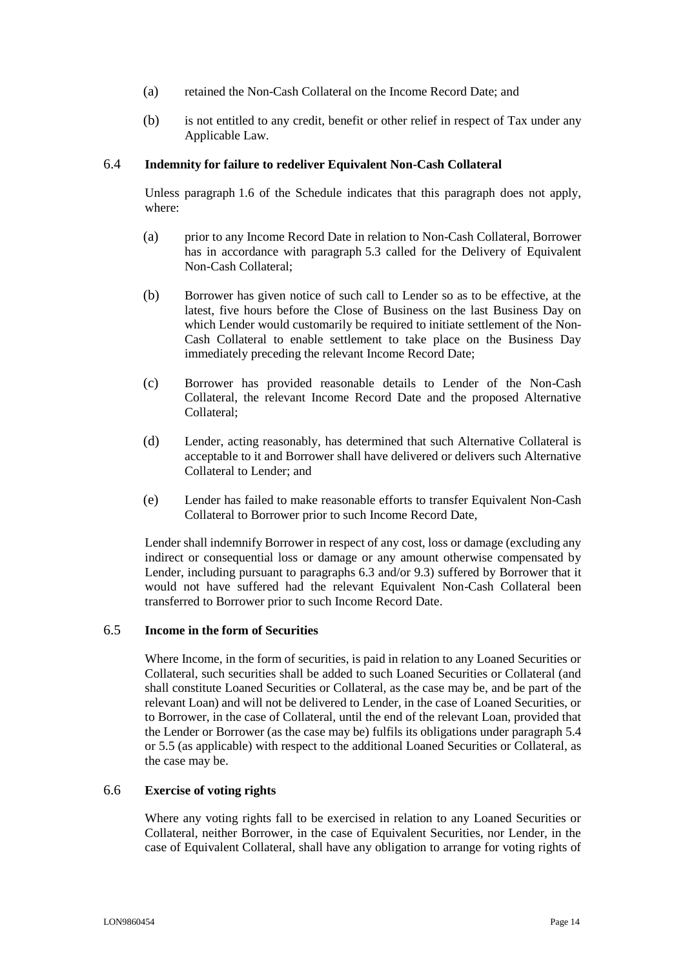- (a) retained the Non-Cash Collateral on the Income Record Date; and
- (b) is not entitled to any credit, benefit or other relief in respect of Tax under any Applicable Law.

#### <span id="page-13-0"></span>6.4 **Indemnity for failure to redeliver Equivalent Non-Cash Collateral**

Unless paragraph [1.6](#page-31-5) of the Schedule indicates that this paragraph does not apply, where:

- (a) prior to any Income Record Date in relation to Non-Cash Collateral, Borrower has in accordance with paragraph [5.3](#page-9-1) called for the Delivery of Equivalent Non-Cash Collateral;
- (b) Borrower has given notice of such call to Lender so as to be effective, at the latest, five hours before the Close of Business on the last Business Day on which Lender would customarily be required to initiate settlement of the Non-Cash Collateral to enable settlement to take place on the Business Day immediately preceding the relevant Income Record Date;
- (c) Borrower has provided reasonable details to Lender of the Non-Cash Collateral, the relevant Income Record Date and the proposed Alternative Collateral;
- (d) Lender, acting reasonably, has determined that such Alternative Collateral is acceptable to it and Borrower shall have delivered or delivers such Alternative Collateral to Lender; and
- (e) Lender has failed to make reasonable efforts to transfer Equivalent Non-Cash Collateral to Borrower prior to such Income Record Date,

Lender shall indemnify Borrower in respect of any cost, loss or damage (excluding any indirect or consequential loss or damage or any amount otherwise compensated by Lender, including pursuant to paragraphs [6.3](#page-12-1) and/or [9.3\)](#page-16-1) suffered by Borrower that it would not have suffered had the relevant Equivalent Non-Cash Collateral been transferred to Borrower prior to such Income Record Date.

#### 6.5 **Income in the form of Securities**

Where Income, in the form of securities, is paid in relation to any Loaned Securities or Collateral, such securities shall be added to such Loaned Securities or Collateral (and shall constitute Loaned Securities or Collateral, as the case may be, and be part of the relevant Loan) and will not be delivered to Lender, in the case of Loaned Securities, or to Borrower, in the case of Collateral, until the end of the relevant Loan, provided that the Lender or Borrower (as the case may be) fulfils its obligations under paragraph [5.4](#page-10-0) or [5.5](#page-10-1) (as applicable) with respect to the additional Loaned Securities or Collateral, as the case may be.

## 6.6 **Exercise of voting rights**

Where any voting rights fall to be exercised in relation to any Loaned Securities or Collateral, neither Borrower, in the case of Equivalent Securities, nor Lender, in the case of Equivalent Collateral, shall have any obligation to arrange for voting rights of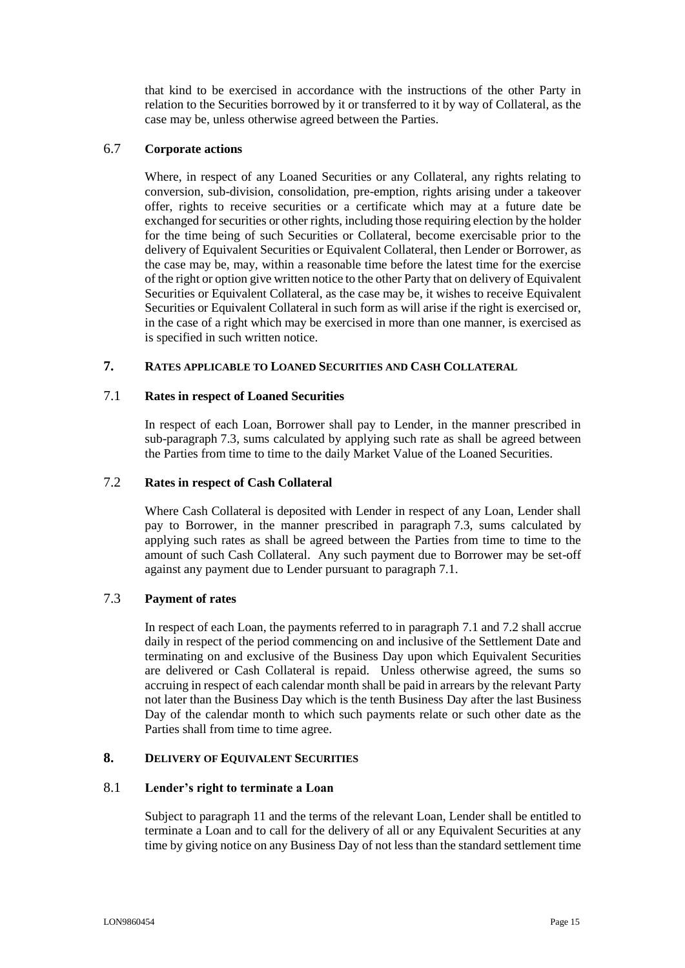that kind to be exercised in accordance with the instructions of the other Party in relation to the Securities borrowed by it or transferred to it by way of Collateral, as the case may be, unless otherwise agreed between the Parties.

## <span id="page-14-2"></span>6.7 **Corporate actions**

Where, in respect of any Loaned Securities or any Collateral, any rights relating to conversion, sub-division, consolidation, pre-emption, rights arising under a takeover offer, rights to receive securities or a certificate which may at a future date be exchanged for securities or other rights, including those requiring election by the holder for the time being of such Securities or Collateral, become exercisable prior to the delivery of Equivalent Securities or Equivalent Collateral, then Lender or Borrower, as the case may be, may, within a reasonable time before the latest time for the exercise of the right or option give written notice to the other Party that on delivery of Equivalent Securities or Equivalent Collateral, as the case may be, it wishes to receive Equivalent Securities or Equivalent Collateral in such form as will arise if the right is exercised or, in the case of a right which may be exercised in more than one manner, is exercised as is specified in such written notice.

## <span id="page-14-0"></span>**7. RATES APPLICABLE TO LOANED SECURITIES AND CASH COLLATERAL**

## <span id="page-14-4"></span>7.1 **Rates in respect of Loaned Securities**

In respect of each Loan, Borrower shall pay to Lender, in the manner prescribed in sub-paragraph [7.3,](#page-14-3) sums calculated by applying such rate as shall be agreed between the Parties from time to time to the daily Market Value of the Loaned Securities.

## <span id="page-14-5"></span>7.2 **Rates in respect of Cash Collateral**

Where Cash Collateral is deposited with Lender in respect of any Loan, Lender shall pay to Borrower, in the manner prescribed in paragraph [7.3,](#page-14-3) sums calculated by applying such rates as shall be agreed between the Parties from time to time to the amount of such Cash Collateral. Any such payment due to Borrower may be set-off against any payment due to Lender pursuant to paragraph [7.1.](#page-14-4)

## <span id="page-14-3"></span>7.3 **Payment of rates**

In respect of each Loan, the payments referred to in paragraph [7.1](#page-14-4) and [7.2](#page-14-5) shall accrue daily in respect of the period commencing on and inclusive of the Settlement Date and terminating on and exclusive of the Business Day upon which Equivalent Securities are delivered or Cash Collateral is repaid. Unless otherwise agreed, the sums so accruing in respect of each calendar month shall be paid in arrears by the relevant Party not later than the Business Day which is the tenth Business Day after the last Business Day of the calendar month to which such payments relate or such other date as the Parties shall from time to time agree.

#### <span id="page-14-1"></span>**8. DELIVERY OF EQUIVALENT SECURITIES**

#### 8.1 **Lender's right to terminate a Loan**

Subject to paragraph [11](#page-18-0) and the terms of the relevant Loan, Lender shall be entitled to terminate a Loan and to call for the delivery of all or any Equivalent Securities at any time by giving notice on any Business Day of not less than the standard settlement time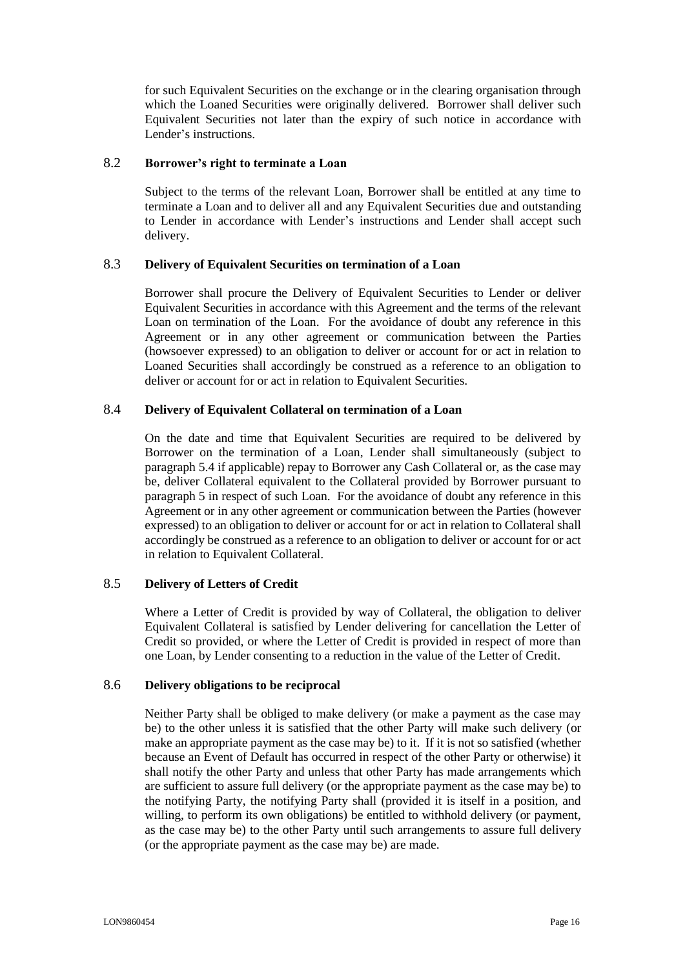for such Equivalent Securities on the exchange or in the clearing organisation through which the Loaned Securities were originally delivered. Borrower shall deliver such Equivalent Securities not later than the expiry of such notice in accordance with Lender's instructions.

#### 8.2 **Borrower's right to terminate a Loan**

Subject to the terms of the relevant Loan, Borrower shall be entitled at any time to terminate a Loan and to deliver all and any Equivalent Securities due and outstanding to Lender in accordance with Lender's instructions and Lender shall accept such delivery.

## <span id="page-15-1"></span>8.3 **Delivery of Equivalent Securities on termination of a Loan**

Borrower shall procure the Delivery of Equivalent Securities to Lender or deliver Equivalent Securities in accordance with this Agreement and the terms of the relevant Loan on termination of the Loan. For the avoidance of doubt any reference in this Agreement or in any other agreement or communication between the Parties (howsoever expressed) to an obligation to deliver or account for or act in relation to Loaned Securities shall accordingly be construed as a reference to an obligation to deliver or account for or act in relation to Equivalent Securities.

## <span id="page-15-2"></span>8.4 **Delivery of Equivalent Collateral on termination of a Loan**

On the date and time that Equivalent Securities are required to be delivered by Borrower on the termination of a Loan, Lender shall simultaneously (subject to paragraph [5.4](#page-10-0) if applicable) repay to Borrower any Cash Collateral or, as the case may be, deliver Collateral equivalent to the Collateral provided by Borrower pursuant to paragraph [5](#page-9-0) in respect of such Loan. For the avoidance of doubt any reference in this Agreement or in any other agreement or communication between the Parties (however expressed) to an obligation to deliver or account for or act in relation to Collateral shall accordingly be construed as a reference to an obligation to deliver or account for or act in relation to Equivalent Collateral.

#### <span id="page-15-3"></span>8.5 **Delivery of Letters of Credit**

Where a Letter of Credit is provided by way of Collateral, the obligation to deliver Equivalent Collateral is satisfied by Lender delivering for cancellation the Letter of Credit so provided, or where the Letter of Credit is provided in respect of more than one Loan, by Lender consenting to a reduction in the value of the Letter of Credit.

## <span id="page-15-0"></span>8.6 **Delivery obligations to be reciprocal**

Neither Party shall be obliged to make delivery (or make a payment as the case may be) to the other unless it is satisfied that the other Party will make such delivery (or make an appropriate payment as the case may be) to it. If it is not so satisfied (whether because an Event of Default has occurred in respect of the other Party or otherwise) it shall notify the other Party and unless that other Party has made arrangements which are sufficient to assure full delivery (or the appropriate payment as the case may be) to the notifying Party, the notifying Party shall (provided it is itself in a position, and willing, to perform its own obligations) be entitled to withhold delivery (or payment, as the case may be) to the other Party until such arrangements to assure full delivery (or the appropriate payment as the case may be) are made.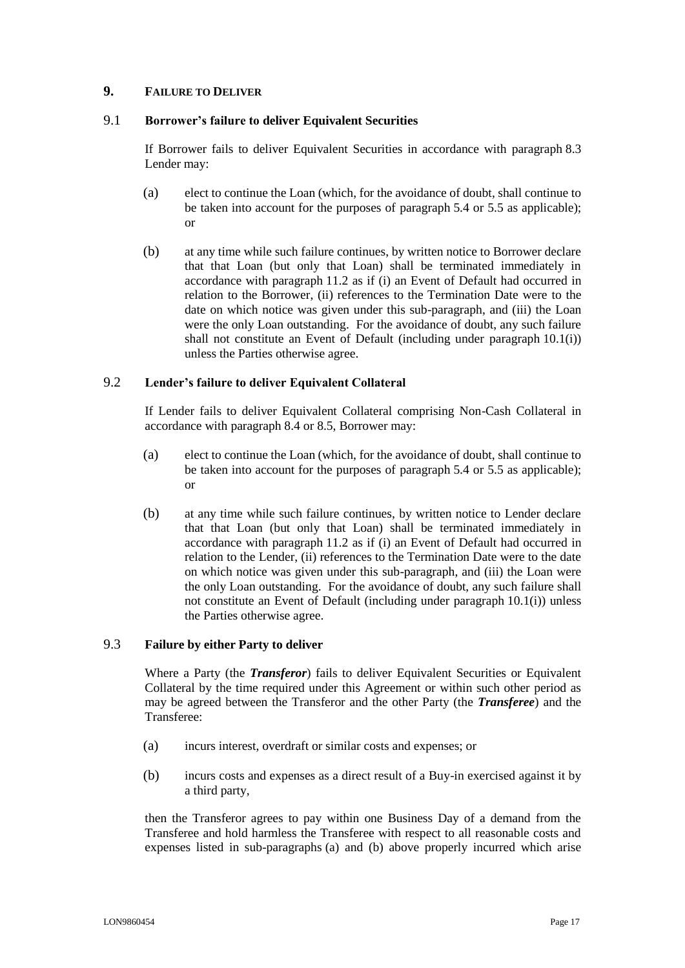## <span id="page-16-0"></span>**9. FAILURE TO DELIVER**

## 9.1 **Borrower's failure to deliver Equivalent Securities**

If Borrower fails to deliver Equivalent Securities in accordance with paragraph [8.3](#page-15-1) Lender may:

- (a) elect to continue the Loan (which, for the avoidance of doubt, shall continue to be taken into account for the purposes of paragraph [5.4](#page-10-0) or [5.5](#page-10-1) as applicable); or
- <span id="page-16-4"></span>(b) at any time while such failure continues, by written notice to Borrower declare that that Loan (but only that Loan) shall be terminated immediately in accordance with paragraph [11.2](#page-18-1) as if (i) an Event of Default had occurred in relation to the Borrower, (ii) references to the Termination Date were to the date on which notice was given under this sub-paragraph, and (iii) the Loan were the only Loan outstanding. For the avoidance of doubt, any such failure shall not constitute an Event of Default (including under paragraph [10.1\(i\)\)](#page-17-2) unless the Parties otherwise agree.

#### 9.2 **Lender's failure to deliver Equivalent Collateral**

If Lender fails to deliver Equivalent Collateral comprising Non-Cash Collateral in accordance with paragraph [8.4](#page-15-2) o[r 8.5,](#page-15-3) Borrower may:

- (a) elect to continue the Loan (which, for the avoidance of doubt, shall continue to be taken into account for the purposes of paragraph [5.4](#page-10-0) or [5.5](#page-10-1) as applicable); or
- <span id="page-16-5"></span>(b) at any time while such failure continues, by written notice to Lender declare that that Loan (but only that Loan) shall be terminated immediately in accordance with paragraph [11.2](#page-18-1) as if (i) an Event of Default had occurred in relation to the Lender, (ii) references to the Termination Date were to the date on which notice was given under this sub-paragraph, and (iii) the Loan were the only Loan outstanding. For the avoidance of doubt, any such failure shall not constitute an Event of Default (including under paragraph [10.1\(i\)\)](#page-17-2) unless the Parties otherwise agree.

## <span id="page-16-1"></span>9.3 **Failure by either Party to deliver**

Where a Party (the *Transferor*) fails to deliver Equivalent Securities or Equivalent Collateral by the time required under this Agreement or within such other period as may be agreed between the Transferor and the other Party (the *Transferee*) and the Transferee:

- <span id="page-16-2"></span>(a) incurs interest, overdraft or similar costs and expenses; or
- <span id="page-16-3"></span>(b) incurs costs and expenses as a direct result of a Buy-in exercised against it by a third party,

then the Transferor agrees to pay within one Business Day of a demand from the Transferee and hold harmless the Transferee with respect to all reasonable costs and expenses listed in sub-paragraphs [\(a\)](#page-16-2) and [\(b\) above](#page-16-3) properly incurred which arise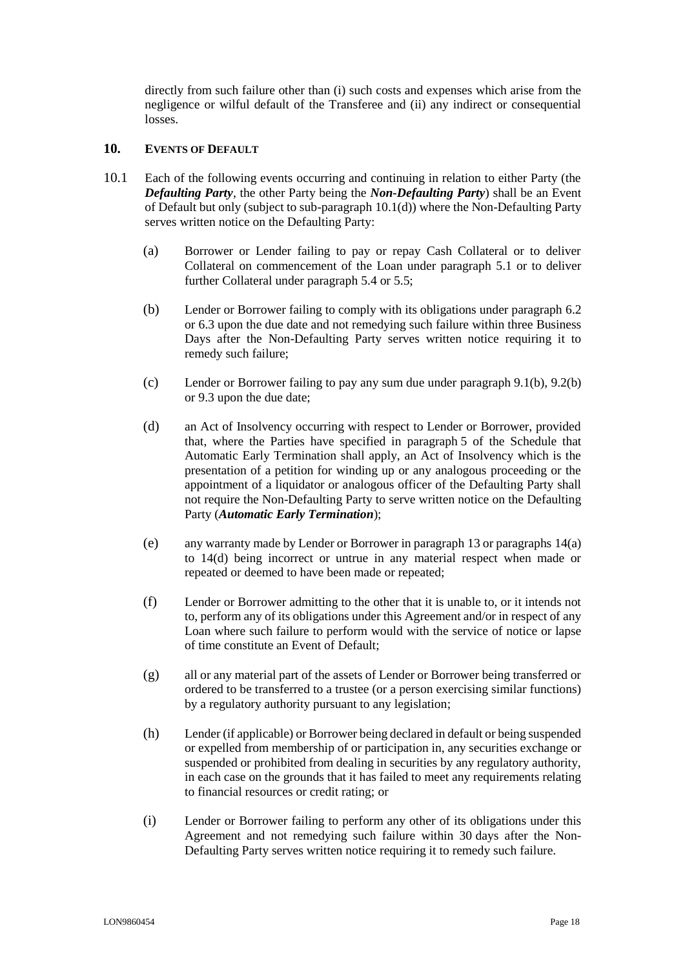directly from such failure other than (i) such costs and expenses which arise from the negligence or wilful default of the Transferee and (ii) any indirect or consequential losses.

## <span id="page-17-0"></span>10. **EVENTS OF DEFAULT**

- <span id="page-17-2"></span><span id="page-17-1"></span>10.1 Each of the following events occurring and continuing in relation to either Party (the *Defaulting Party*, the other Party being the *Non-Defaulting Party*) shall be an Event of Default but only (subject to sub-paragraph [10.1\(d\)\)](#page-17-1) where the Non-Defaulting Party serves written notice on the Defaulting Party:
	- (a) Borrower or Lender failing to pay or repay Cash Collateral or to deliver Collateral on commencement of the Loan under paragraph [5.1](#page-9-2) or to deliver further Collateral under paragraph [5.4](#page-10-0) or [5.5;](#page-10-1)
	- (b) Lender or Borrower failing to comply with its obligations under paragraph [6.2](#page-12-2) or [6.3](#page-12-1) upon the due date and not remedying such failure within three Business Days after the Non-Defaulting Party serves written notice requiring it to remedy such failure;
	- (c) Lender or Borrower failing to pay any sum due under paragraph [9.1\(b\),](#page-16-4) [9.2\(b\)](#page-16-5) or [9.3](#page-16-1) upon the due date;
	- (d) an Act of Insolvency occurring with respect to Lender or Borrower, provided that, where the Parties have specified in paragraph [5](#page-31-6) of the Schedule that Automatic Early Termination shall apply, an Act of Insolvency which is the presentation of a petition for winding up or any analogous proceeding or the appointment of a liquidator or analogous officer of the Defaulting Party shall not require the Non-Defaulting Party to serve written notice on the Defaulting Party (*Automatic Early Termination*);
	- (e) any warranty made by Lender or Borrower in paragraph [13](#page-23-0) or paragraphs [14\(a\)](#page-24-4) to [14\(d\)](#page-24-5) being incorrect or untrue in any material respect when made or repeated or deemed to have been made or repeated;
	- (f) Lender or Borrower admitting to the other that it is unable to, or it intends not to, perform any of its obligations under this Agreement and/or in respect of any Loan where such failure to perform would with the service of notice or lapse of time constitute an Event of Default;
	- (g) all or any material part of the assets of Lender or Borrower being transferred or ordered to be transferred to a trustee (or a person exercising similar functions) by a regulatory authority pursuant to any legislation;
	- (h) Lender (if applicable) or Borrower being declared in default or being suspended or expelled from membership of or participation in, any securities exchange or suspended or prohibited from dealing in securities by any regulatory authority, in each case on the grounds that it has failed to meet any requirements relating to financial resources or credit rating; or
	- (i) Lender or Borrower failing to perform any other of its obligations under this Agreement and not remedying such failure within 30 days after the Non-Defaulting Party serves written notice requiring it to remedy such failure.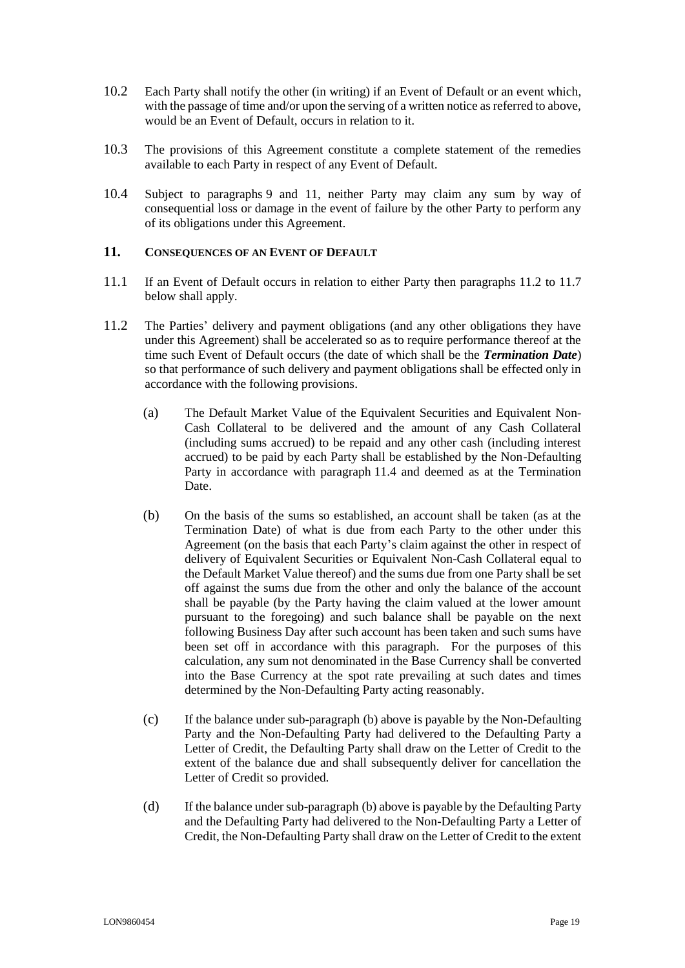- 10.2 Each Party shall notify the other (in writing) if an Event of Default or an event which, with the passage of time and/or upon the serving of a written notice as referred to above, would be an Event of Default, occurs in relation to it.
- 10.3 The provisions of this Agreement constitute a complete statement of the remedies available to each Party in respect of any Event of Default.
- 10.4 Subject to paragraphs [9](#page-16-0) and [11,](#page-18-0) neither Party may claim any sum by way of consequential loss or damage in the event of failure by the other Party to perform any of its obligations under this Agreement.

#### <span id="page-18-0"></span>11. **CONSEQUENCES OF AN EVENT OF DEFAULT**

- 11.1 If an Event of Default occurs in relation to either Party then paragraphs [11.2](#page-18-1) to [11.7](#page-21-0)  [below](#page-21-0) shall apply.
- <span id="page-18-2"></span><span id="page-18-1"></span>11.2 The Parties' delivery and payment obligations (and any other obligations they have under this Agreement) shall be accelerated so as to require performance thereof at the time such Event of Default occurs (the date of which shall be the *Termination Date*) so that performance of such delivery and payment obligations shall be effected only in accordance with the following provisions.
	- (a) The Default Market Value of the Equivalent Securities and Equivalent Non-Cash Collateral to be delivered and the amount of any Cash Collateral (including sums accrued) to be repaid and any other cash (including interest accrued) to be paid by each Party shall be established by the Non-Defaulting Party in accordance with paragraph [11.4](#page-19-0) and deemed as at the Termination Date.
	- (b) On the basis of the sums so established, an account shall be taken (as at the Termination Date) of what is due from each Party to the other under this Agreement (on the basis that each Party's claim against the other in respect of delivery of Equivalent Securities or Equivalent Non-Cash Collateral equal to the Default Market Value thereof) and the sums due from one Party shall be set off against the sums due from the other and only the balance of the account shall be payable (by the Party having the claim valued at the lower amount pursuant to the foregoing) and such balance shall be payable on the next following Business Day after such account has been taken and such sums have been set off in accordance with this paragraph. For the purposes of this calculation, any sum not denominated in the Base Currency shall be converted into the Base Currency at the spot rate prevailing at such dates and times determined by the Non-Defaulting Party acting reasonably.
	- (c) If the balance under sub-paragraph [\(b\) above](#page-18-2) is payable by the Non-Defaulting Party and the Non-Defaulting Party had delivered to the Defaulting Party a Letter of Credit, the Defaulting Party shall draw on the Letter of Credit to the extent of the balance due and shall subsequently deliver for cancellation the Letter of Credit so provided.
	- (d) If the balance under sub-paragraph [\(b\) above](#page-18-2) is payable by the Defaulting Party and the Defaulting Party had delivered to the Non-Defaulting Party a Letter of Credit, the Non-Defaulting Party shall draw on the Letter of Credit to the extent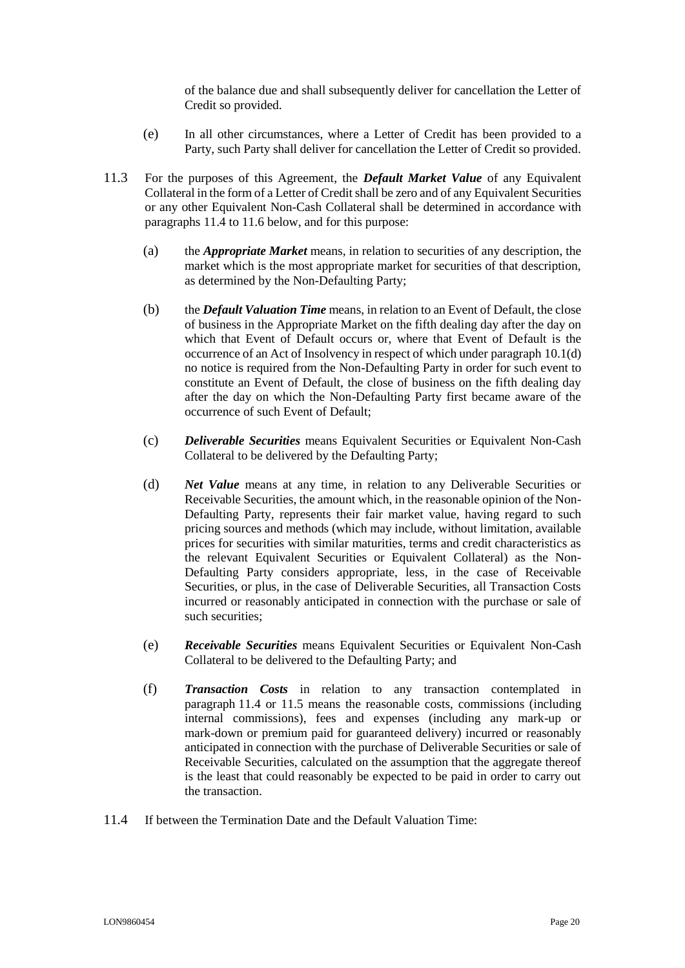of the balance due and shall subsequently deliver for cancellation the Letter of Credit so provided.

- (e) In all other circumstances, where a Letter of Credit has been provided to a Party, such Party shall deliver for cancellation the Letter of Credit so provided.
- 11.3 For the purposes of this Agreement, the *Default Market Value* of any Equivalent Collateral in the form of a Letter of Credit shall be zero and of any Equivalent Securities or any other Equivalent Non-Cash Collateral shall be determined in accordance with paragraphs [11.4](#page-19-0) to [11.6 below,](#page-21-1) and for this purpose:
	- (a) the *Appropriate Market* means, in relation to securities of any description, the market which is the most appropriate market for securities of that description, as determined by the Non-Defaulting Party;
	- (b) the *Default Valuation Time* means, in relation to an Event of Default, the close of business in the Appropriate Market on the fifth dealing day after the day on which that Event of Default occurs or, where that Event of Default is the occurrence of an Act of Insolvency in respect of which under paragraph [10.1\(d\)](#page-17-1) no notice is required from the Non-Defaulting Party in order for such event to constitute an Event of Default, the close of business on the fifth dealing day after the day on which the Non-Defaulting Party first became aware of the occurrence of such Event of Default;
	- (c) *Deliverable Securities* means Equivalent Securities or Equivalent Non-Cash Collateral to be delivered by the Defaulting Party;
	- (d) *Net Value* means at any time, in relation to any Deliverable Securities or Receivable Securities, the amount which, in the reasonable opinion of the Non-Defaulting Party, represents their fair market value, having regard to such pricing sources and methods (which may include, without limitation, available prices for securities with similar maturities, terms and credit characteristics as the relevant Equivalent Securities or Equivalent Collateral) as the Non-Defaulting Party considers appropriate, less, in the case of Receivable Securities, or plus, in the case of Deliverable Securities, all Transaction Costs incurred or reasonably anticipated in connection with the purchase or sale of such securities;
	- (e) *Receivable Securities* means Equivalent Securities or Equivalent Non-Cash Collateral to be delivered to the Defaulting Party; and
	- (f) *Transaction Costs* in relation to any transaction contemplated in paragraph 11.4 or 11.5 means the reasonable costs, commissions (including internal commissions), fees and expenses (including any mark-up or mark-down or premium paid for guaranteed delivery) incurred or reasonably anticipated in connection with the purchase of Deliverable Securities or sale of Receivable Securities, calculated on the assumption that the aggregate thereof is the least that could reasonably be expected to be paid in order to carry out the transaction.
- <span id="page-19-0"></span>11.4 If between the Termination Date and the Default Valuation Time: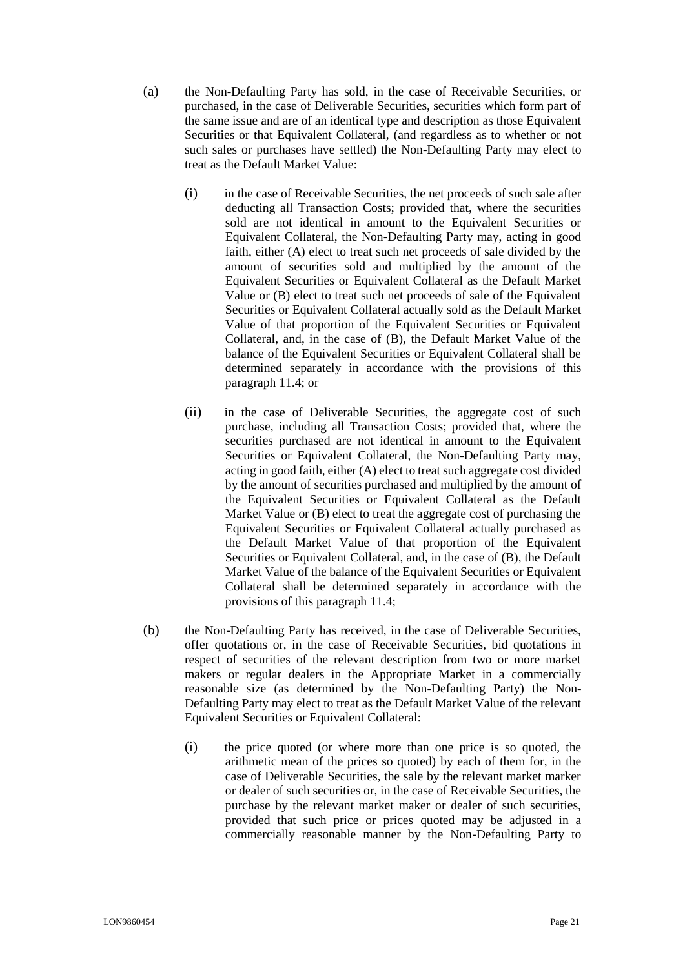- <span id="page-20-0"></span>(a) the Non-Defaulting Party has sold, in the case of Receivable Securities, or purchased, in the case of Deliverable Securities, securities which form part of the same issue and are of an identical type and description as those Equivalent Securities or that Equivalent Collateral, (and regardless as to whether or not such sales or purchases have settled) the Non-Defaulting Party may elect to treat as the Default Market Value:
	- (i) in the case of Receivable Securities, the net proceeds of such sale after deducting all Transaction Costs; provided that, where the securities sold are not identical in amount to the Equivalent Securities or Equivalent Collateral, the Non-Defaulting Party may, acting in good faith, either (A) elect to treat such net proceeds of sale divided by the amount of securities sold and multiplied by the amount of the Equivalent Securities or Equivalent Collateral as the Default Market Value or (B) elect to treat such net proceeds of sale of the Equivalent Securities or Equivalent Collateral actually sold as the Default Market Value of that proportion of the Equivalent Securities or Equivalent Collateral, and, in the case of (B), the Default Market Value of the balance of the Equivalent Securities or Equivalent Collateral shall be determined separately in accordance with the provisions of this paragraph [11.4;](#page-19-0) or
	- (ii) in the case of Deliverable Securities, the aggregate cost of such purchase, including all Transaction Costs; provided that, where the securities purchased are not identical in amount to the Equivalent Securities or Equivalent Collateral, the Non-Defaulting Party may, acting in good faith, either (A) elect to treat such aggregate cost divided by the amount of securities purchased and multiplied by the amount of the Equivalent Securities or Equivalent Collateral as the Default Market Value or (B) elect to treat the aggregate cost of purchasing the Equivalent Securities or Equivalent Collateral actually purchased as the Default Market Value of that proportion of the Equivalent Securities or Equivalent Collateral, and, in the case of (B), the Default Market Value of the balance of the Equivalent Securities or Equivalent Collateral shall be determined separately in accordance with the provisions of this paragraph [11.4;](#page-19-0)
- <span id="page-20-1"></span>(b) the Non-Defaulting Party has received, in the case of Deliverable Securities, offer quotations or, in the case of Receivable Securities, bid quotations in respect of securities of the relevant description from two or more market makers or regular dealers in the Appropriate Market in a commercially reasonable size (as determined by the Non-Defaulting Party) the Non-Defaulting Party may elect to treat as the Default Market Value of the relevant Equivalent Securities or Equivalent Collateral:
	- (i) the price quoted (or where more than one price is so quoted, the arithmetic mean of the prices so quoted) by each of them for, in the case of Deliverable Securities, the sale by the relevant market marker or dealer of such securities or, in the case of Receivable Securities, the purchase by the relevant market maker or dealer of such securities, provided that such price or prices quoted may be adjusted in a commercially reasonable manner by the Non-Defaulting Party to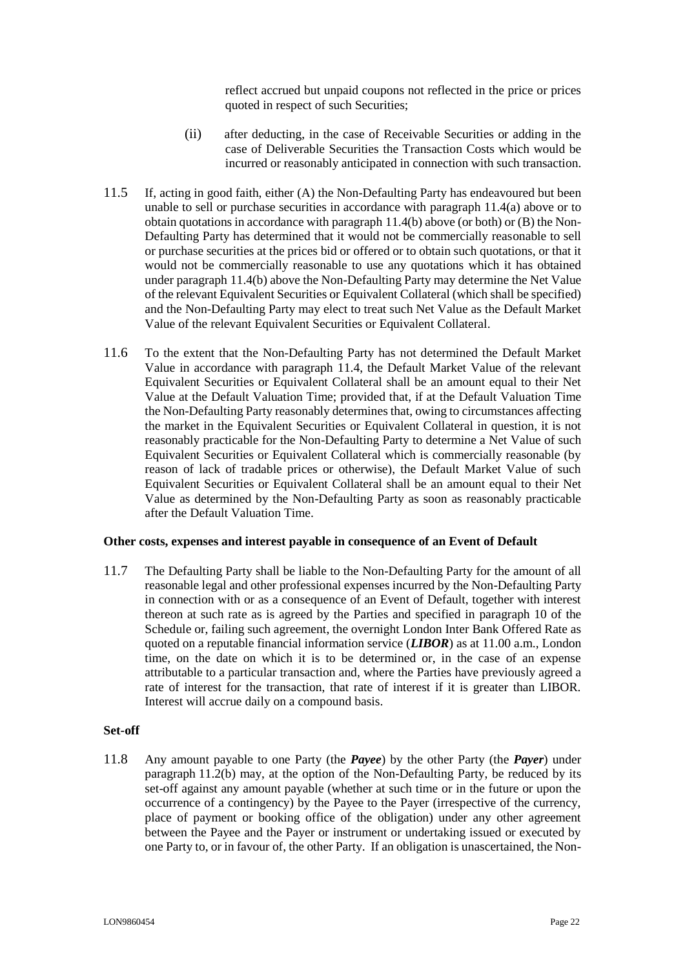reflect accrued but unpaid coupons not reflected in the price or prices quoted in respect of such Securities;

- (ii) after deducting, in the case of Receivable Securities or adding in the case of Deliverable Securities the Transaction Costs which would be incurred or reasonably anticipated in connection with such transaction.
- 11.5 If, acting in good faith, either (A) the Non-Defaulting Party has endeavoured but been unable to sell or purchase securities in accordance with paragraph [11.4\(a\)](#page-20-0) above or to obtain quotations in accordance with paragraph [11.4\(b\)](#page-20-1) above (or both) or (B) the Non-Defaulting Party has determined that it would not be commercially reasonable to sell or purchase securities at the prices bid or offered or to obtain such quotations, or that it would not be commercially reasonable to use any quotations which it has obtained under paragraph [11.4\(b\)](#page-20-1) above the Non-Defaulting Party may determine the Net Value of the relevant Equivalent Securities or Equivalent Collateral (which shall be specified) and the Non-Defaulting Party may elect to treat such Net Value as the Default Market Value of the relevant Equivalent Securities or Equivalent Collateral.
- <span id="page-21-1"></span>11.6 To the extent that the Non-Defaulting Party has not determined the Default Market Value in accordance with paragraph [11.4,](#page-19-0) the Default Market Value of the relevant Equivalent Securities or Equivalent Collateral shall be an amount equal to their Net Value at the Default Valuation Time; provided that, if at the Default Valuation Time the Non-Defaulting Party reasonably determines that, owing to circumstances affecting the market in the Equivalent Securities or Equivalent Collateral in question, it is not reasonably practicable for the Non-Defaulting Party to determine a Net Value of such Equivalent Securities or Equivalent Collateral which is commercially reasonable (by reason of lack of tradable prices or otherwise), the Default Market Value of such Equivalent Securities or Equivalent Collateral shall be an amount equal to their Net Value as determined by the Non-Defaulting Party as soon as reasonably practicable after the Default Valuation Time.

#### **Other costs, expenses and interest payable in consequence of an Event of Default**

<span id="page-21-0"></span>11.7 The Defaulting Party shall be liable to the Non-Defaulting Party for the amount of all reasonable legal and other professional expenses incurred by the Non-Defaulting Party in connection with or as a consequence of an Event of Default, together with interest thereon at such rate as is agreed by the Parties and specified in paragraph 10 of the Schedule or, failing such agreement, the overnight London Inter Bank Offered Rate as quoted on a reputable financial information service (*LIBOR*) as at 11.00 a.m., London time, on the date on which it is to be determined or, in the case of an expense attributable to a particular transaction and, where the Parties have previously agreed a rate of interest for the transaction, that rate of interest if it is greater than LIBOR. Interest will accrue daily on a compound basis.

#### **Set-off**

11.8 Any amount payable to one Party (the *Payee*) by the other Party (the *Payer*) under paragraph [11.2\(b\)](#page-18-2) may, at the option of the Non-Defaulting Party, be reduced by its set-off against any amount payable (whether at such time or in the future or upon the occurrence of a contingency) by the Payee to the Payer (irrespective of the currency, place of payment or booking office of the obligation) under any other agreement between the Payee and the Payer or instrument or undertaking issued or executed by one Party to, or in favour of, the other Party. If an obligation is unascertained, the Non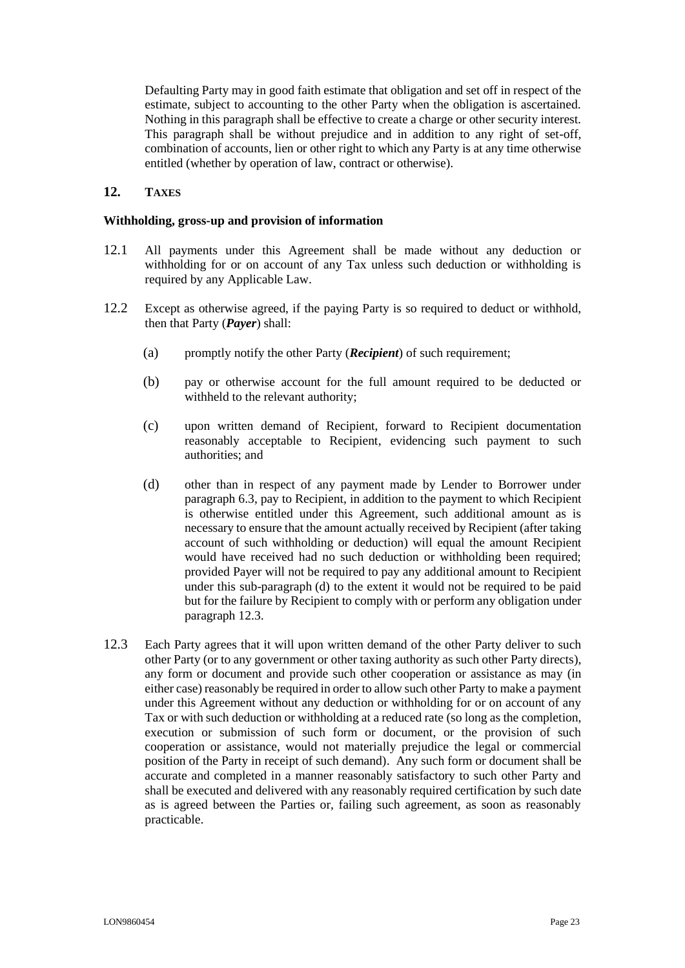Defaulting Party may in good faith estimate that obligation and set off in respect of the estimate, subject to accounting to the other Party when the obligation is ascertained. Nothing in this paragraph shall be effective to create a charge or other security interest. This paragraph shall be without prejudice and in addition to any right of set-off, combination of accounts, lien or other right to which any Party is at any time otherwise entitled (whether by operation of law, contract or otherwise).

## <span id="page-22-0"></span>**12. TAXES**

#### **Withholding, gross-up and provision of information**

- 12.1 All payments under this Agreement shall be made without any deduction or withholding for or on account of any Tax unless such deduction or withholding is required by any Applicable Law.
- 12.2 Except as otherwise agreed, if the paying Party is so required to deduct or withhold, then that Party (*Payer*) shall:
	- (a) promptly notify the other Party (*Recipient*) of such requirement;
	- (b) pay or otherwise account for the full amount required to be deducted or withheld to the relevant authority;
	- (c) upon written demand of Recipient, forward to Recipient documentation reasonably acceptable to Recipient, evidencing such payment to such authorities; and
	- (d) other than in respect of any payment made by Lender to Borrower under paragraph [6.3,](#page-12-1) pay to Recipient, in addition to the payment to which Recipient is otherwise entitled under this Agreement, such additional amount as is necessary to ensure that the amount actually received by Recipient (after taking account of such withholding or deduction) will equal the amount Recipient would have received had no such deduction or withholding been required; provided Payer will not be required to pay any additional amount to Recipient under this sub-paragraph [\(d\)](#page-22-1) to the extent it would not be required to be paid but for the failure by Recipient to comply with or perform any obligation under paragraph [12.3.](#page-22-2)
- <span id="page-22-2"></span><span id="page-22-1"></span>12.3 Each Party agrees that it will upon written demand of the other Party deliver to such other Party (or to any government or other taxing authority as such other Party directs), any form or document and provide such other cooperation or assistance as may (in either case) reasonably be required in order to allow such other Party to make a payment under this Agreement without any deduction or withholding for or on account of any Tax or with such deduction or withholding at a reduced rate (so long as the completion, execution or submission of such form or document, or the provision of such cooperation or assistance, would not materially prejudice the legal or commercial position of the Party in receipt of such demand). Any such form or document shall be accurate and completed in a manner reasonably satisfactory to such other Party and shall be executed and delivered with any reasonably required certification by such date as is agreed between the Parties or, failing such agreement, as soon as reasonably practicable.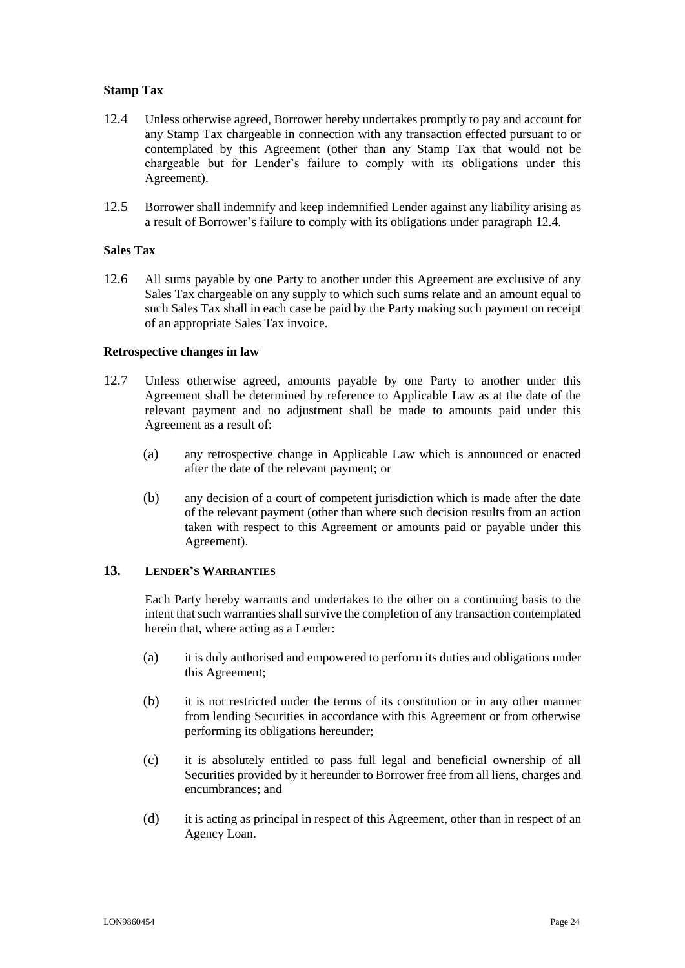## **Stamp Tax**

- <span id="page-23-1"></span>12.4 Unless otherwise agreed, Borrower hereby undertakes promptly to pay and account for any Stamp Tax chargeable in connection with any transaction effected pursuant to or contemplated by this Agreement (other than any Stamp Tax that would not be chargeable but for Lender's failure to comply with its obligations under this Agreement).
- 12.5 Borrower shall indemnify and keep indemnified Lender against any liability arising as a result of Borrower's failure to comply with its obligations under paragraph [12.4.](#page-23-1)

#### **Sales Tax**

12.6 All sums payable by one Party to another under this Agreement are exclusive of any Sales Tax chargeable on any supply to which such sums relate and an amount equal to such Sales Tax shall in each case be paid by the Party making such payment on receipt of an appropriate Sales Tax invoice.

#### **Retrospective changes in law**

- 12.7 Unless otherwise agreed, amounts payable by one Party to another under this Agreement shall be determined by reference to Applicable Law as at the date of the relevant payment and no adjustment shall be made to amounts paid under this Agreement as a result of:
	- (a) any retrospective change in Applicable Law which is announced or enacted after the date of the relevant payment; or
	- (b) any decision of a court of competent jurisdiction which is made after the date of the relevant payment (other than where such decision results from an action taken with respect to this Agreement or amounts paid or payable under this Agreement).

#### <span id="page-23-0"></span>**13. LENDER'S WARRANTIES**

Each Party hereby warrants and undertakes to the other on a continuing basis to the intent that such warranties shall survive the completion of any transaction contemplated herein that, where acting as a Lender:

- (a) it is duly authorised and empowered to perform its duties and obligations under this Agreement;
- (b) it is not restricted under the terms of its constitution or in any other manner from lending Securities in accordance with this Agreement or from otherwise performing its obligations hereunder;
- (c) it is absolutely entitled to pass full legal and beneficial ownership of all Securities provided by it hereunder to Borrower free from all liens, charges and encumbrances; and
- (d) it is acting as principal in respect of this Agreement, other than in respect of an Agency Loan.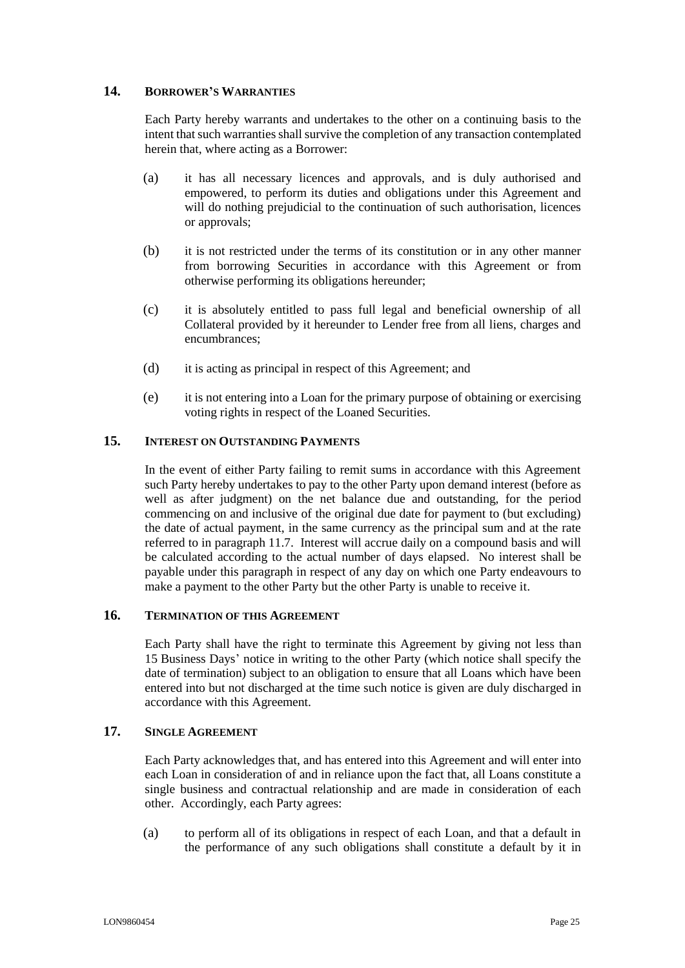## <span id="page-24-0"></span>**14. BORROWER'S WARRANTIES**

Each Party hereby warrants and undertakes to the other on a continuing basis to the intent that such warranties shall survive the completion of any transaction contemplated herein that, where acting as a Borrower:

- <span id="page-24-4"></span>(a) it has all necessary licences and approvals, and is duly authorised and empowered, to perform its duties and obligations under this Agreement and will do nothing prejudicial to the continuation of such authorisation, licences or approvals;
- (b) it is not restricted under the terms of its constitution or in any other manner from borrowing Securities in accordance with this Agreement or from otherwise performing its obligations hereunder;
- (c) it is absolutely entitled to pass full legal and beneficial ownership of all Collateral provided by it hereunder to Lender free from all liens, charges and encumbrances;
- <span id="page-24-5"></span>(d) it is acting as principal in respect of this Agreement; and
- (e) it is not entering into a Loan for the primary purpose of obtaining or exercising voting rights in respect of the Loaned Securities.

## <span id="page-24-1"></span>**15. INTEREST ON OUTSTANDING PAYMENTS**

In the event of either Party failing to remit sums in accordance with this Agreement such Party hereby undertakes to pay to the other Party upon demand interest (before as well as after judgment) on the net balance due and outstanding, for the period commencing on and inclusive of the original due date for payment to (but excluding) the date of actual payment, in the same currency as the principal sum and at the rate referred to in paragraph [11.7.](#page-21-0) Interest will accrue daily on a compound basis and will be calculated according to the actual number of days elapsed. No interest shall be payable under this paragraph in respect of any day on which one Party endeavours to make a payment to the other Party but the other Party is unable to receive it.

## <span id="page-24-2"></span>**16. TERMINATION OF THIS AGREEMENT**

Each Party shall have the right to terminate this Agreement by giving not less than 15 Business Days' notice in writing to the other Party (which notice shall specify the date of termination) subject to an obligation to ensure that all Loans which have been entered into but not discharged at the time such notice is given are duly discharged in accordance with this Agreement.

#### <span id="page-24-3"></span>**17. SINGLE AGREEMENT**

Each Party acknowledges that, and has entered into this Agreement and will enter into each Loan in consideration of and in reliance upon the fact that, all Loans constitute a single business and contractual relationship and are made in consideration of each other. Accordingly, each Party agrees:

(a) to perform all of its obligations in respect of each Loan, and that a default in the performance of any such obligations shall constitute a default by it in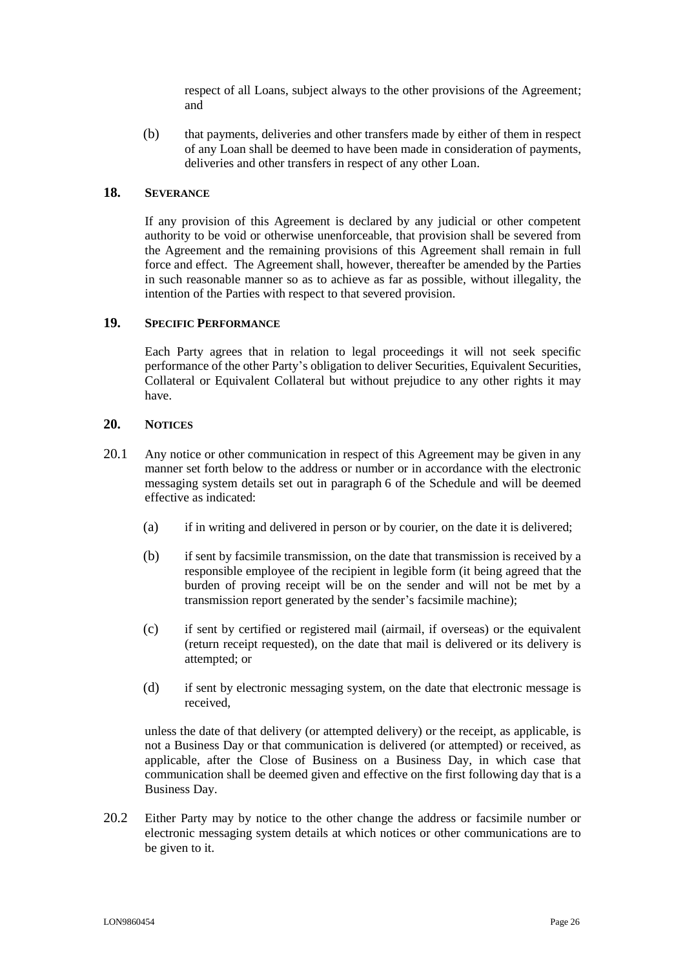respect of all Loans, subject always to the other provisions of the Agreement; and

(b) that payments, deliveries and other transfers made by either of them in respect of any Loan shall be deemed to have been made in consideration of payments, deliveries and other transfers in respect of any other Loan.

#### <span id="page-25-0"></span>**18. SEVERANCE**

If any provision of this Agreement is declared by any judicial or other competent authority to be void or otherwise unenforceable, that provision shall be severed from the Agreement and the remaining provisions of this Agreement shall remain in full force and effect. The Agreement shall, however, thereafter be amended by the Parties in such reasonable manner so as to achieve as far as possible, without illegality, the intention of the Parties with respect to that severed provision.

#### <span id="page-25-1"></span>**19. SPECIFIC PERFORMANCE**

Each Party agrees that in relation to legal proceedings it will not seek specific performance of the other Party's obligation to deliver Securities, Equivalent Securities, Collateral or Equivalent Collateral but without prejudice to any other rights it may have.

#### <span id="page-25-2"></span>**20. NOTICES**

- 20.1 Any notice or other communication in respect of this Agreement may be given in any manner set forth below to the address or number or in accordance with the electronic messaging system details set out in paragraph 6 of the Schedule and will be deemed effective as indicated:
	- (a) if in writing and delivered in person or by courier, on the date it is delivered;
	- (b) if sent by facsimile transmission, on the date that transmission is received by a responsible employee of the recipient in legible form (it being agreed that the burden of proving receipt will be on the sender and will not be met by a transmission report generated by the sender's facsimile machine);
	- (c) if sent by certified or registered mail (airmail, if overseas) or the equivalent (return receipt requested), on the date that mail is delivered or its delivery is attempted; or
	- (d) if sent by electronic messaging system, on the date that electronic message is received,

unless the date of that delivery (or attempted delivery) or the receipt, as applicable, is not a Business Day or that communication is delivered (or attempted) or received, as applicable, after the Close of Business on a Business Day, in which case that communication shall be deemed given and effective on the first following day that is a Business Day.

20.2 Either Party may by notice to the other change the address or facsimile number or electronic messaging system details at which notices or other communications are to be given to it.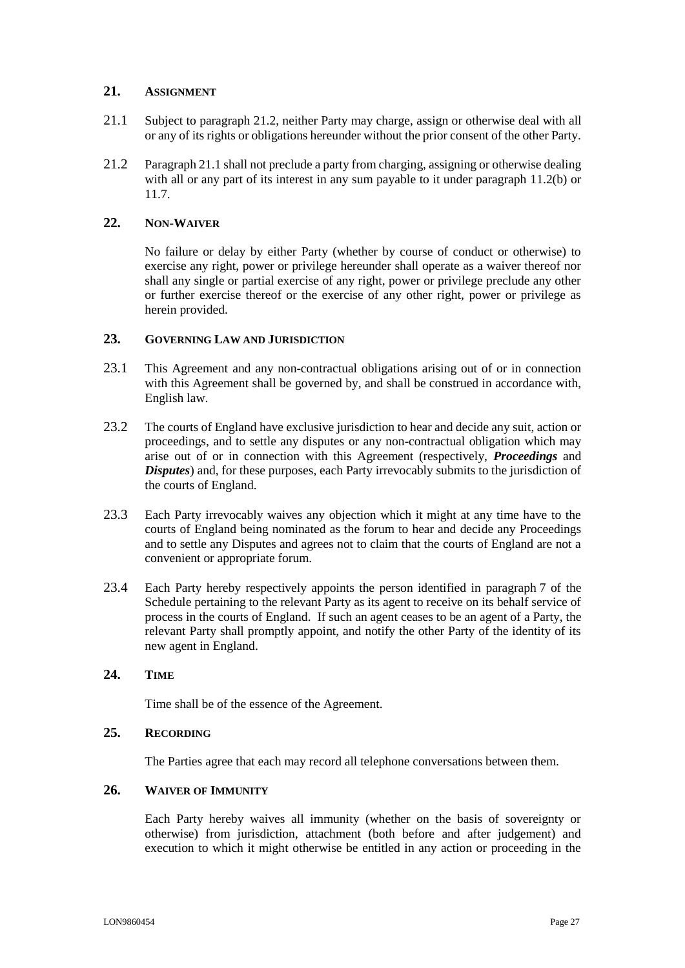## <span id="page-26-0"></span>**21. ASSIGNMENT**

- <span id="page-26-7"></span>21.1 Subject to paragraph [21.2,](#page-26-6) neither Party may charge, assign or otherwise deal with all or any of its rights or obligations hereunder without the prior consent of the other Party.
- <span id="page-26-6"></span>21.2 Paragraph [21.1](#page-26-7) shall not preclude a party from charging, assigning or otherwise dealing with all or any part of its interest in any sum payable to it under paragraph [11.2\(b\)](#page-18-2) or [11.7.](#page-21-0)

## <span id="page-26-1"></span>**22. NON-WAIVER**

No failure or delay by either Party (whether by course of conduct or otherwise) to exercise any right, power or privilege hereunder shall operate as a waiver thereof nor shall any single or partial exercise of any right, power or privilege preclude any other or further exercise thereof or the exercise of any other right, power or privilege as herein provided.

## <span id="page-26-2"></span>**23. GOVERNING LAW AND JURISDICTION**

- 23.1 This Agreement and any non-contractual obligations arising out of or in connection with this Agreement shall be governed by, and shall be construed in accordance with, English law.
- 23.2 The courts of England have exclusive jurisdiction to hear and decide any suit, action or proceedings, and to settle any disputes or any non-contractual obligation which may arise out of or in connection with this Agreement (respectively, *Proceedings* and *Disputes*) and, for these purposes, each Party irrevocably submits to the jurisdiction of the courts of England.
- 23.3 Each Party irrevocably waives any objection which it might at any time have to the courts of England being nominated as the forum to hear and decide any Proceedings and to settle any Disputes and agrees not to claim that the courts of England are not a convenient or appropriate forum.
- 23.4 Each Party hereby respectively appoints the person identified in paragraph [7](#page-32-0) of the Schedule pertaining to the relevant Party as its agent to receive on its behalf service of process in the courts of England. If such an agent ceases to be an agent of a Party, the relevant Party shall promptly appoint, and notify the other Party of the identity of its new agent in England.

#### <span id="page-26-3"></span>**24. TIME**

Time shall be of the essence of the Agreement.

#### <span id="page-26-4"></span>**25. RECORDING**

The Parties agree that each may record all telephone conversations between them.

## <span id="page-26-5"></span>**26. WAIVER OF IMMUNITY**

Each Party hereby waives all immunity (whether on the basis of sovereignty or otherwise) from jurisdiction, attachment (both before and after judgement) and execution to which it might otherwise be entitled in any action or proceeding in the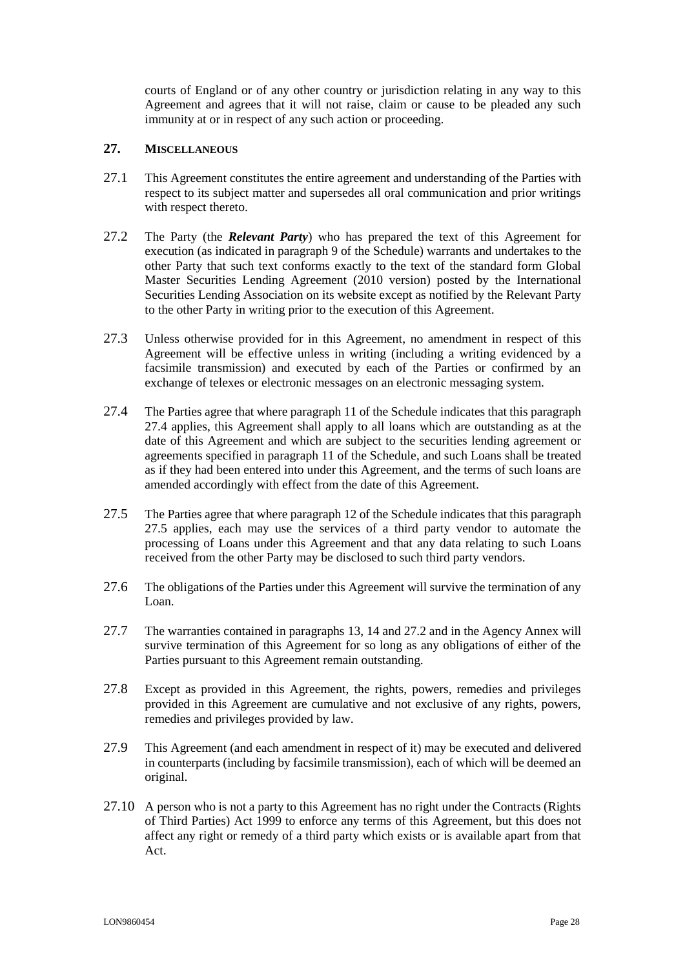courts of England or of any other country or jurisdiction relating in any way to this Agreement and agrees that it will not raise, claim or cause to be pleaded any such immunity at or in respect of any such action or proceeding.

## <span id="page-27-0"></span>**27. MISCELLANEOUS**

- 27.1 This Agreement constitutes the entire agreement and understanding of the Parties with respect to its subject matter and supersedes all oral communication and prior writings with respect thereto.
- <span id="page-27-3"></span>27.2 The Party (the *Relevant Party*) who has prepared the text of this Agreement for execution (as indicated in paragraph [9](#page-32-1) of the Schedule) warrants and undertakes to the other Party that such text conforms exactly to the text of the standard form Global Master Securities Lending Agreement (2010 version) posted by the International Securities Lending Association on its website except as notified by the Relevant Party to the other Party in writing prior to the execution of this Agreement.
- 27.3 Unless otherwise provided for in this Agreement, no amendment in respect of this Agreement will be effective unless in writing (including a writing evidenced by a facsimile transmission) and executed by each of the Parties or confirmed by an exchange of telexes or electronic messages on an electronic messaging system.
- <span id="page-27-1"></span>27.4 The Parties agree that where paragraph 11 of the Schedule indicates that this paragraph [27.4](#page-27-1) applies, this Agreement shall apply to all loans which are outstanding as at the date of this Agreement and which are subject to the securities lending agreement or agreements specified in paragraph 11 of the Schedule, and such Loans shall be treated as if they had been entered into under this Agreement, and the terms of such loans are amended accordingly with effect from the date of this Agreement.
- <span id="page-27-2"></span>27.5 The Parties agree that where paragraph 12 of the Schedule indicates that this paragraph [27.5](#page-27-2) applies, each may use the services of a third party vendor to automate the processing of Loans under this Agreement and that any data relating to such Loans received from the other Party may be disclosed to such third party vendors.
- 27.6 The obligations of the Parties under this Agreement will survive the termination of any Loan.
- 27.7 The warranties contained in paragraphs [13,](#page-23-0) [14](#page-24-0) and [27.2](#page-27-3) and in the Agency Annex will survive termination of this Agreement for so long as any obligations of either of the Parties pursuant to this Agreement remain outstanding.
- 27.8 Except as provided in this Agreement, the rights, powers, remedies and privileges provided in this Agreement are cumulative and not exclusive of any rights, powers, remedies and privileges provided by law.
- 27.9 This Agreement (and each amendment in respect of it) may be executed and delivered in counterparts (including by facsimile transmission), each of which will be deemed an original.
- 27.10 A person who is not a party to this Agreement has no right under the Contracts (Rights of Third Parties) Act 1999 to enforce any terms of this Agreement, but this does not affect any right or remedy of a third party which exists or is available apart from that Act.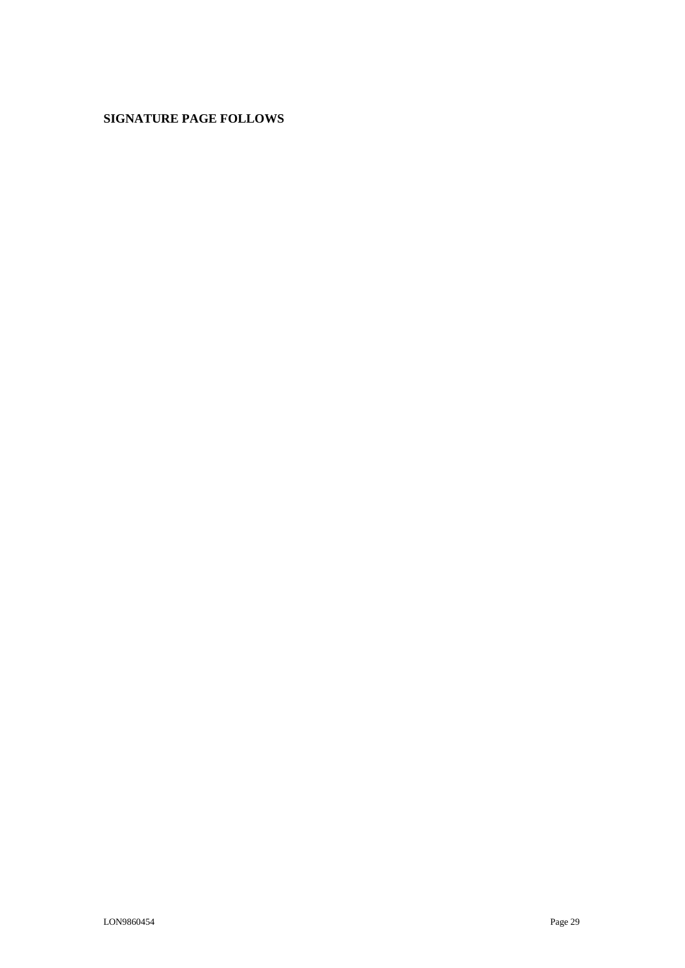## **SIGNATURE PAGE FOLLOWS**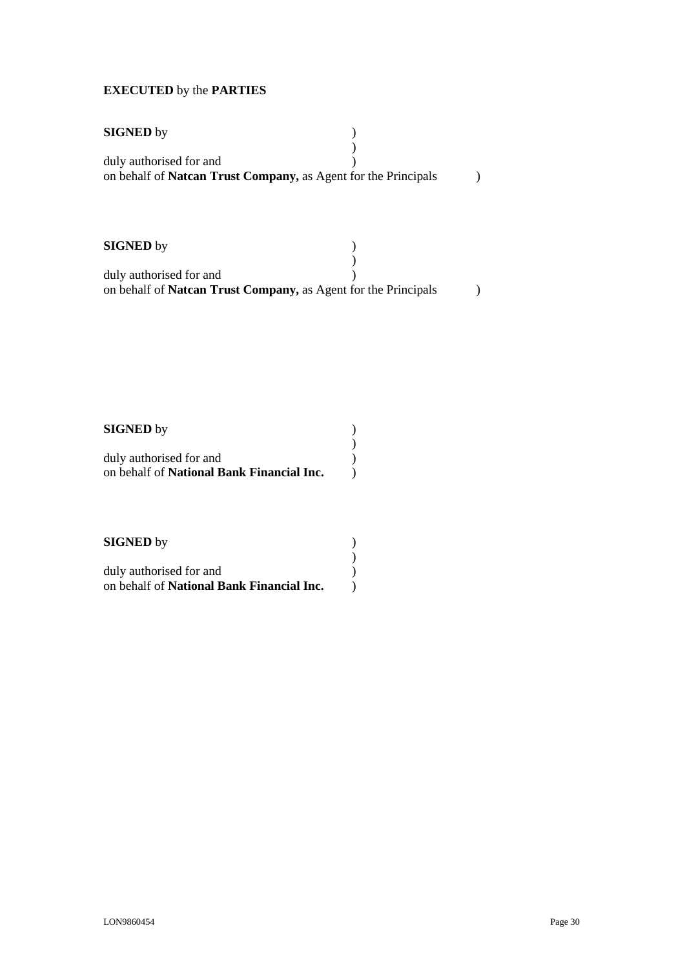# **EXECUTED** by the **PARTIES**

| <b>SIGNED</b> by                                                                          |  |
|-------------------------------------------------------------------------------------------|--|
| duly authorised for and<br>on behalf of Natcan Trust Company, as Agent for the Principals |  |
|                                                                                           |  |
| <b>SIGNED</b> by                                                                          |  |
| duly authorised for and                                                                   |  |

on behalf of **Natcan Trust Company,** as Agent for the Principals )

| <b>SIGNED</b> by                                 |  |
|--------------------------------------------------|--|
|                                                  |  |
| duly authorised for and                          |  |
| on behalf of <b>National Bank Financial Inc.</b> |  |

| <b>SIGNED</b> by                                 |  |
|--------------------------------------------------|--|
|                                                  |  |
| duly authorised for and                          |  |
| on behalf of <b>National Bank Financial Inc.</b> |  |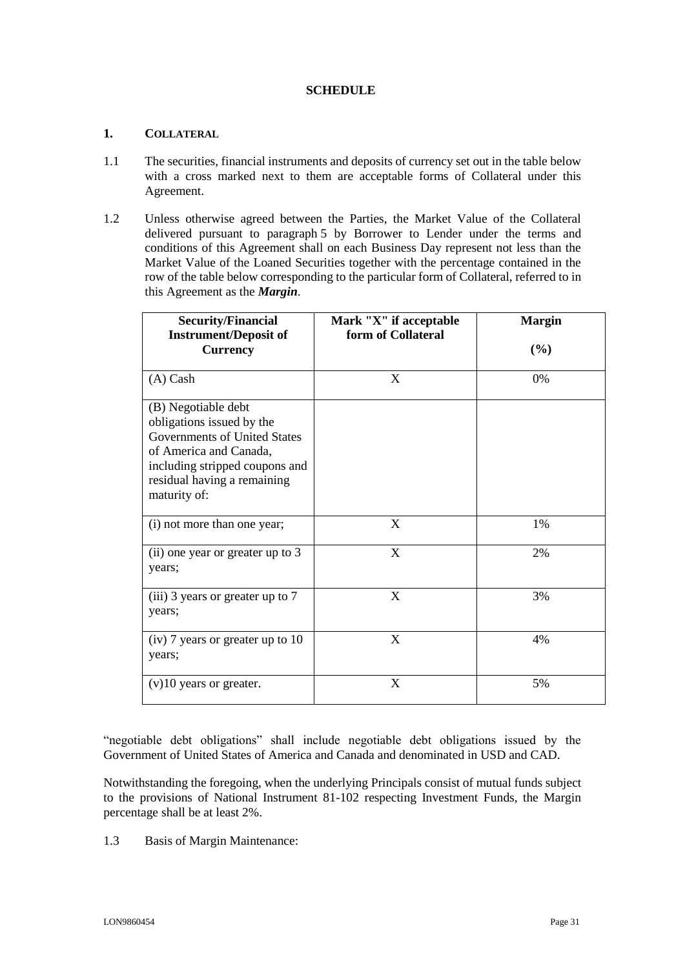## **SCHEDULE**

## <span id="page-30-1"></span><span id="page-30-0"></span>**1. COLLATERAL**

- 1.1 The securities, financial instruments and deposits of currency set out in the table below with a cross marked next to them are acceptable forms of Collateral under this Agreement.
- 1.2 Unless otherwise agreed between the Parties, the Market Value of the Collateral delivered pursuant to paragraph [5](#page-9-0) by Borrower to Lender under the terms and conditions of this Agreement shall on each Business Day represent not less than the Market Value of the Loaned Securities together with the percentage contained in the row of the table below corresponding to the particular form of Collateral, referred to in this Agreement as the *Margin*.

| <b>Security/Financial</b><br><b>Instrument/Deposit of</b><br><b>Currency</b>                                                                                                                | Mark "X" if acceptable<br>form of Collateral | <b>Margin</b><br>$(\%)$ |
|---------------------------------------------------------------------------------------------------------------------------------------------------------------------------------------------|----------------------------------------------|-------------------------|
| $(A)$ Cash                                                                                                                                                                                  | X                                            | 0%                      |
| (B) Negotiable debt<br>obligations issued by the<br>Governments of United States<br>of America and Canada,<br>including stripped coupons and<br>residual having a remaining<br>maturity of: |                                              |                         |
| (i) not more than one year;                                                                                                                                                                 | X                                            | 1%                      |
| (ii) one year or greater up to 3<br>years;                                                                                                                                                  | X                                            | 2%                      |
| (iii) 3 years or greater up to 7<br>years;                                                                                                                                                  | X                                            | 3%                      |
| $(iv)$ 7 years or greater up to 10<br>years;                                                                                                                                                | X                                            | 4%                      |
| $(v)$ 10 years or greater.                                                                                                                                                                  | X                                            | 5%                      |

"negotiable debt obligations" shall include negotiable debt obligations issued by the Government of United States of America and Canada and denominated in USD and CAD.

Notwithstanding the foregoing, when the underlying Principals consist of mutual funds subject to the provisions of National Instrument 81-102 respecting Investment Funds, the Margin percentage shall be at least 2%.

1.3 Basis of Margin Maintenance: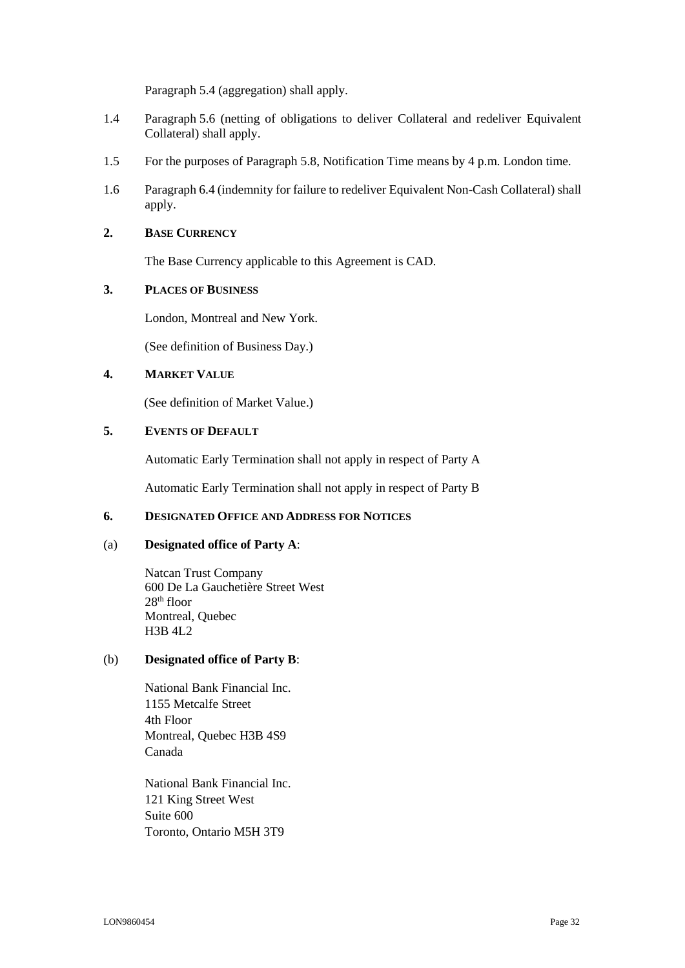Paragraph [5.4](#page-10-0) (aggregation) shall apply.

- <span id="page-31-3"></span>1.4 Paragraph [5.6](#page-11-1) (netting of obligations to deliver Collateral and redeliver Equivalent Collateral) shall apply.
- <span id="page-31-4"></span>1.5 For the purposes of Paragraph [5.8,](#page-12-3) Notification Time means by 4 p.m. London time.
- <span id="page-31-5"></span>1.6 Paragraph [6.4](#page-13-0) (indemnity for failure to redeliver Equivalent Non-Cash Collateral) shall apply.

#### <span id="page-31-0"></span>**2. BASE CURRENCY**

The Base Currency applicable to this Agreement is CAD.

## <span id="page-31-1"></span>**3. PLACES OF BUSINESS**

London, Montreal and New York.

(See definition of Business Day.)

## **4. MARKET VALUE**

(See definition of Market Value.)

#### <span id="page-31-6"></span>**5. EVENTS OF DEFAULT**

Automatic Early Termination shall not apply in respect of Party A

Automatic Early Termination shall not apply in respect of Party B

## <span id="page-31-2"></span>**6. DESIGNATED OFFICE AND ADDRESS FOR NOTICES**

#### (a) **Designated office of Party A**:

Natcan Trust Company 600 De La Gauchetière Street West 28th floor Montreal, Quebec H3B 4L2

## (b) **Designated office of Party B**:

National Bank Financial Inc. 1155 Metcalfe Street 4th Floor Montreal, Quebec H3B 4S9 Canada

National Bank Financial Inc. 121 King Street West Suite 600 Toronto, Ontario M5H 3T9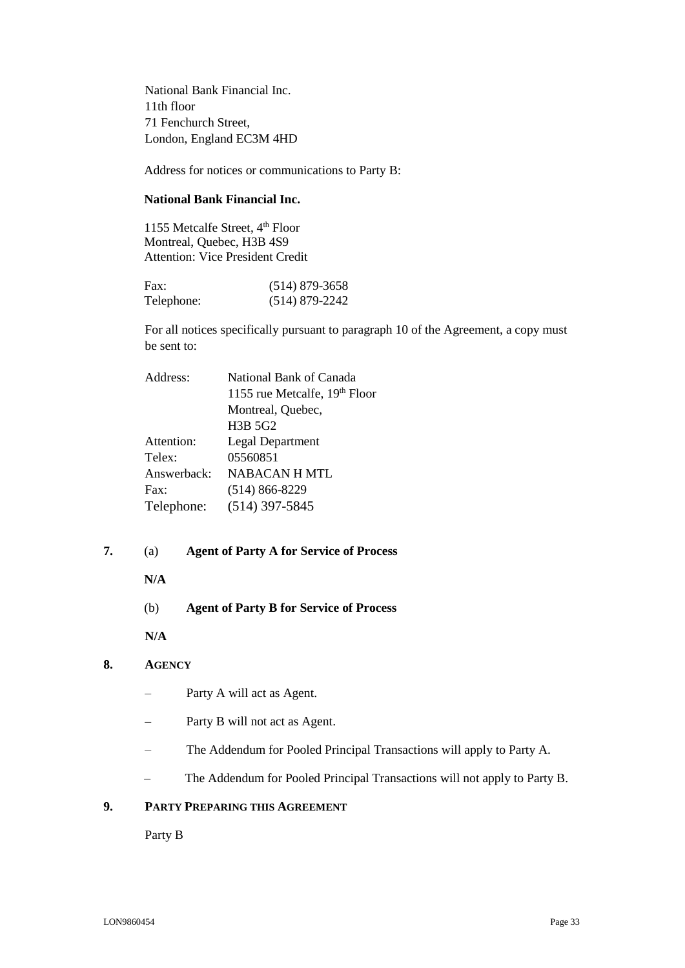National Bank Financial Inc. 11th floor 71 Fenchurch Street, London, England EC3M 4HD

Address for notices or communications to Party B:

## **National Bank Financial Inc.**

1155 Metcalfe Street, 4 th Floor Montreal, Quebec, H3B 4S9 Attention: Vice President Credit

| Fax:       | $(514)$ 879-3658 |
|------------|------------------|
| Telephone: | $(514)$ 879-2242 |

For all notices specifically pursuant to paragraph 10 of the Agreement, a copy must be sent to:

| National Bank of Canada          |
|----------------------------------|
| 1155 rue Metcalfe, 19th Floor    |
| Montreal, Quebec,                |
| H <sub>3</sub> B 5G <sub>2</sub> |
| <b>Legal Department</b>          |
| 05560851                         |
| NABACAN H MTL                    |
| $(514) 866 - 8229$               |
| $(514)$ 397-5845                 |
|                                  |

## <span id="page-32-0"></span>**7.** (a) **Agent of Party A for Service of Process**

#### **N/A**

(b) **Agent of Party B for Service of Process**

**N/A**

## **8. AGENCY**

- Party A will act as Agent.
- Party B will not act as Agent.
- The Addendum for Pooled Principal Transactions will apply to Party A.
- The Addendum for Pooled Principal Transactions will not apply to Party B.

## <span id="page-32-1"></span>**9. PARTY PREPARING THIS AGREEMENT**

Party B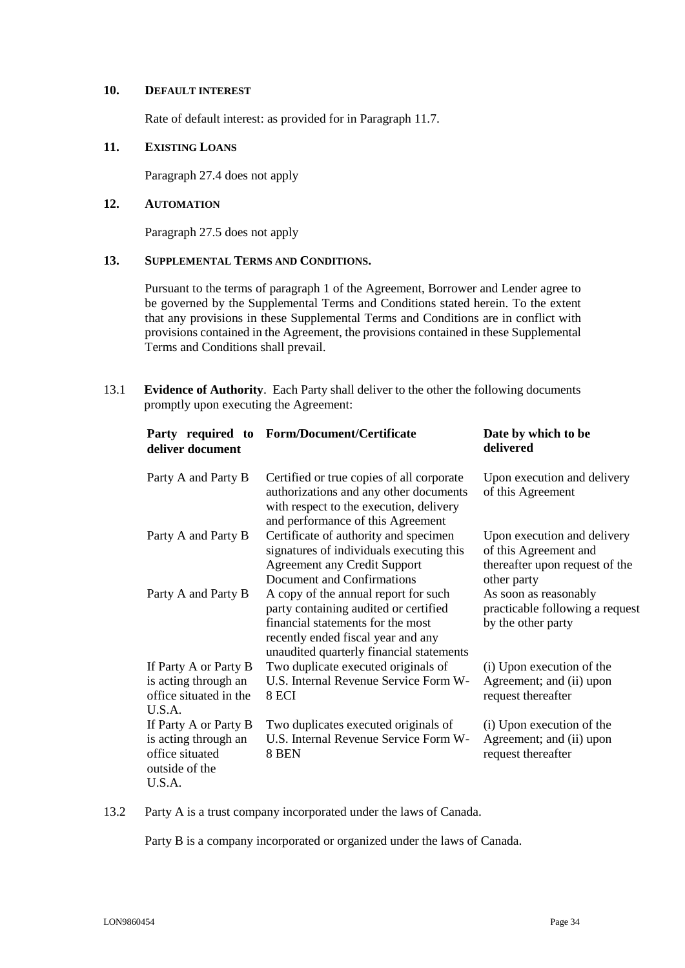#### **10. DEFAULT INTEREST**

Rate of default interest: as provided for in Paragraph 11.7.

## **11. EXISTING LOANS**

Paragraph [27.4](#page-27-1) does not apply

## **12. AUTOMATION**

Paragraph [27.5](#page-27-2) does not apply

## **13. SUPPLEMENTAL TERMS AND CONDITIONS.**

Pursuant to the terms of paragraph 1 of the Agreement, Borrower and Lender agree to be governed by the Supplemental Terms and Conditions stated herein. To the extent that any provisions in these Supplemental Terms and Conditions are in conflict with provisions contained in the Agreement, the provisions contained in these Supplemental Terms and Conditions shall prevail.

13.1 **Evidence of Authority**. Each Party shall deliver to the other the following documents promptly upon executing the Agreement:

| Party required to<br>deliver document | <b>Form/Document/Certificate</b>                                                                                                                                                                     | Date by which to be<br>delivered                                                                      |
|---------------------------------------|------------------------------------------------------------------------------------------------------------------------------------------------------------------------------------------------------|-------------------------------------------------------------------------------------------------------|
| Party A and Party B                   | Certified or true copies of all corporate<br>authorizations and any other documents<br>with respect to the execution, delivery<br>and performance of this Agreement                                  | Upon execution and delivery<br>of this Agreement                                                      |
| Party A and Party B                   | Certificate of authority and specimen<br>signatures of individuals executing this<br><b>Agreement any Credit Support</b><br>Document and Confirmations                                               | Upon execution and delivery<br>of this Agreement and<br>thereafter upon request of the<br>other party |
| Party A and Party B                   | A copy of the annual report for such<br>party containing audited or certified<br>financial statements for the most<br>recently ended fiscal year and any<br>unaudited quarterly financial statements | As soon as reasonably<br>practicable following a request<br>by the other party                        |
| If Party A or Party B                 | Two duplicate executed originals of                                                                                                                                                                  | (i) Upon execution of the                                                                             |
| is acting through an                  | U.S. Internal Revenue Service Form W-                                                                                                                                                                | Agreement; and (ii) upon                                                                              |
| office situated in the                | 8 ECI                                                                                                                                                                                                | request thereafter                                                                                    |
| U.S.A.                                |                                                                                                                                                                                                      |                                                                                                       |
| If Party A or Party B                 | Two duplicates executed originals of                                                                                                                                                                 | (i) Upon execution of the                                                                             |
| is acting through an                  | U.S. Internal Revenue Service Form W-                                                                                                                                                                | Agreement; and (ii) upon                                                                              |
| office situated                       | 8 BEN                                                                                                                                                                                                | request thereafter                                                                                    |
| outside of the                        |                                                                                                                                                                                                      |                                                                                                       |
| U.S.A.                                |                                                                                                                                                                                                      |                                                                                                       |

## 13.2 Party A is a trust company incorporated under the laws of Canada.

Party B is a company incorporated or organized under the laws of Canada.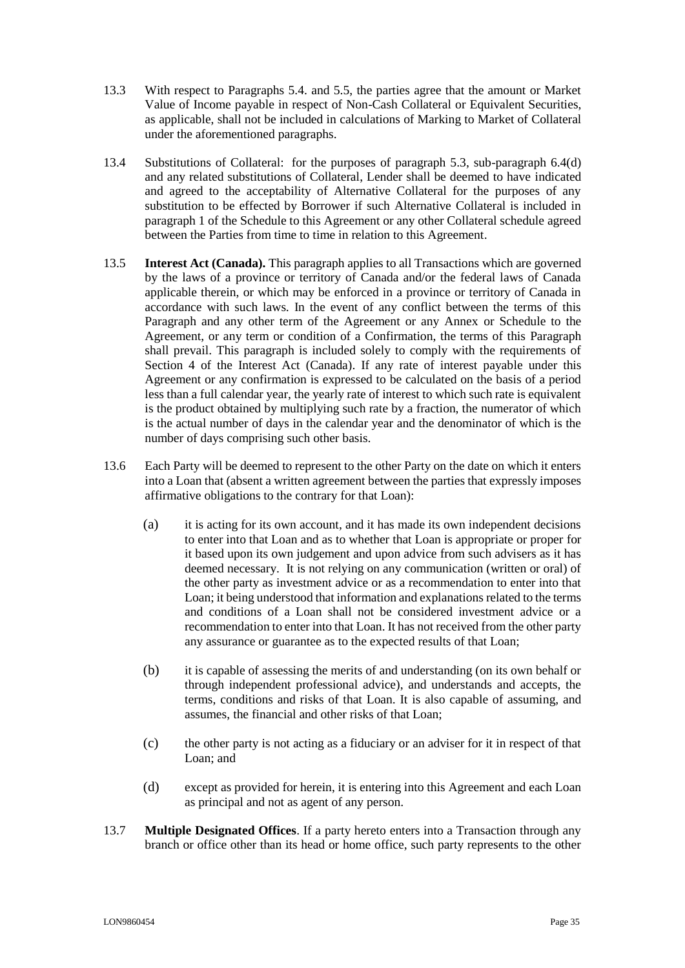- 13.3 With respect to Paragraphs 5.4. and 5.5, the parties agree that the amount or Market Value of Income payable in respect of Non-Cash Collateral or Equivalent Securities, as applicable, shall not be included in calculations of Marking to Market of Collateral under the aforementioned paragraphs.
- 13.4 Substitutions of Collateral: for the purposes of paragraph 5.3, sub-paragraph 6.4(d) and any related substitutions of Collateral, Lender shall be deemed to have indicated and agreed to the acceptability of Alternative Collateral for the purposes of any substitution to be effected by Borrower if such Alternative Collateral is included in paragraph 1 of the Schedule to this Agreement or any other Collateral schedule agreed between the Parties from time to time in relation to this Agreement.
- 13.5 **Interest Act (Canada).** This paragraph applies to all Transactions which are governed by the laws of a province or territory of Canada and/or the federal laws of Canada applicable therein, or which may be enforced in a province or territory of Canada in accordance with such laws. In the event of any conflict between the terms of this Paragraph and any other term of the Agreement or any Annex or Schedule to the Agreement, or any term or condition of a Confirmation, the terms of this Paragraph shall prevail. This paragraph is included solely to comply with the requirements of Section 4 of the Interest Act (Canada). If any rate of interest payable under this Agreement or any confirmation is expressed to be calculated on the basis of a period less than a full calendar year, the yearly rate of interest to which such rate is equivalent is the product obtained by multiplying such rate by a fraction, the numerator of which is the actual number of days in the calendar year and the denominator of which is the number of days comprising such other basis.
- 13.6 Each Party will be deemed to represent to the other Party on the date on which it enters into a Loan that (absent a written agreement between the parties that expressly imposes affirmative obligations to the contrary for that Loan):
	- (a) it is acting for its own account, and it has made its own independent decisions to enter into that Loan and as to whether that Loan is appropriate or proper for it based upon its own judgement and upon advice from such advisers as it has deemed necessary. It is not relying on any communication (written or oral) of the other party as investment advice or as a recommendation to enter into that Loan; it being understood that information and explanations related to the terms and conditions of a Loan shall not be considered investment advice or a recommendation to enter into that Loan. It has not received from the other party any assurance or guarantee as to the expected results of that Loan;
	- (b) it is capable of assessing the merits of and understanding (on its own behalf or through independent professional advice), and understands and accepts, the terms, conditions and risks of that Loan. It is also capable of assuming, and assumes, the financial and other risks of that Loan;
	- (c) the other party is not acting as a fiduciary or an adviser for it in respect of that Loan; and
	- (d) except as provided for herein, it is entering into this Agreement and each Loan as principal and not as agent of any person.
- 13.7 **Multiple Designated Offices**. If a party hereto enters into a Transaction through any branch or office other than its head or home office, such party represents to the other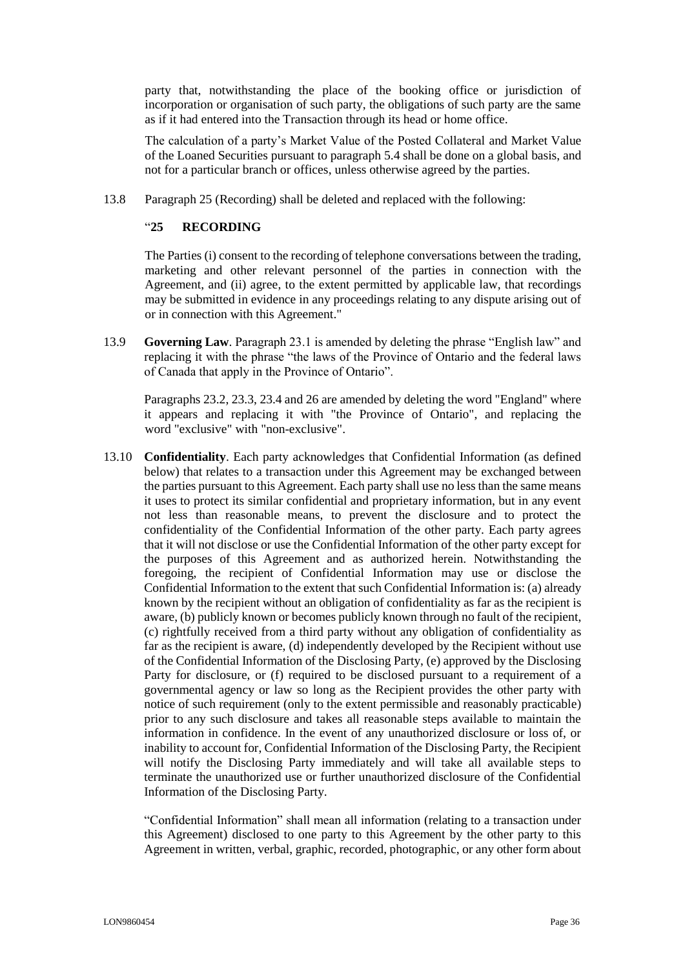party that, notwithstanding the place of the booking office or jurisdiction of incorporation or organisation of such party, the obligations of such party are the same as if it had entered into the Transaction through its head or home office.

The calculation of a party's Market Value of the Posted Collateral and Market Value of the Loaned Securities pursuant to paragraph 5.4 shall be done on a global basis, and not for a particular branch or offices, unless otherwise agreed by the parties.

13.8 Paragraph 25 (Recording) shall be deleted and replaced with the following:

#### "**25 RECORDING**

The Parties (i) consent to the recording of telephone conversations between the trading, marketing and other relevant personnel of the parties in connection with the Agreement, and (ii) agree, to the extent permitted by applicable law, that recordings may be submitted in evidence in any proceedings relating to any dispute arising out of or in connection with this Agreement."

13.9 **Governing Law**. Paragraph 23.1 is amended by deleting the phrase "English law" and replacing it with the phrase "the laws of the Province of Ontario and the federal laws of Canada that apply in the Province of Ontario".

Paragraphs 23.2, 23.3, 23.4 and 26 are amended by deleting the word "England" where it appears and replacing it with "the Province of Ontario", and replacing the word "exclusive" with "non-exclusive".

13.10 **Confidentiality**. Each party acknowledges that Confidential Information (as defined below) that relates to a transaction under this Agreement may be exchanged between the parties pursuant to this Agreement. Each party shall use no less than the same means it uses to protect its similar confidential and proprietary information, but in any event not less than reasonable means, to prevent the disclosure and to protect the confidentiality of the Confidential Information of the other party. Each party agrees that it will not disclose or use the Confidential Information of the other party except for the purposes of this Agreement and as authorized herein. Notwithstanding the foregoing, the recipient of Confidential Information may use or disclose the Confidential Information to the extent that such Confidential Information is: (a) already known by the recipient without an obligation of confidentiality as far as the recipient is aware, (b) publicly known or becomes publicly known through no fault of the recipient, (c) rightfully received from a third party without any obligation of confidentiality as far as the recipient is aware, (d) independently developed by the Recipient without use of the Confidential Information of the Disclosing Party, (e) approved by the Disclosing Party for disclosure, or (f) required to be disclosed pursuant to a requirement of a governmental agency or law so long as the Recipient provides the other party with notice of such requirement (only to the extent permissible and reasonably practicable) prior to any such disclosure and takes all reasonable steps available to maintain the information in confidence. In the event of any unauthorized disclosure or loss of, or inability to account for, Confidential Information of the Disclosing Party, the Recipient will notify the Disclosing Party immediately and will take all available steps to terminate the unauthorized use or further unauthorized disclosure of the Confidential Information of the Disclosing Party.

"Confidential Information" shall mean all information (relating to a transaction under this Agreement) disclosed to one party to this Agreement by the other party to this Agreement in written, verbal, graphic, recorded, photographic, or any other form about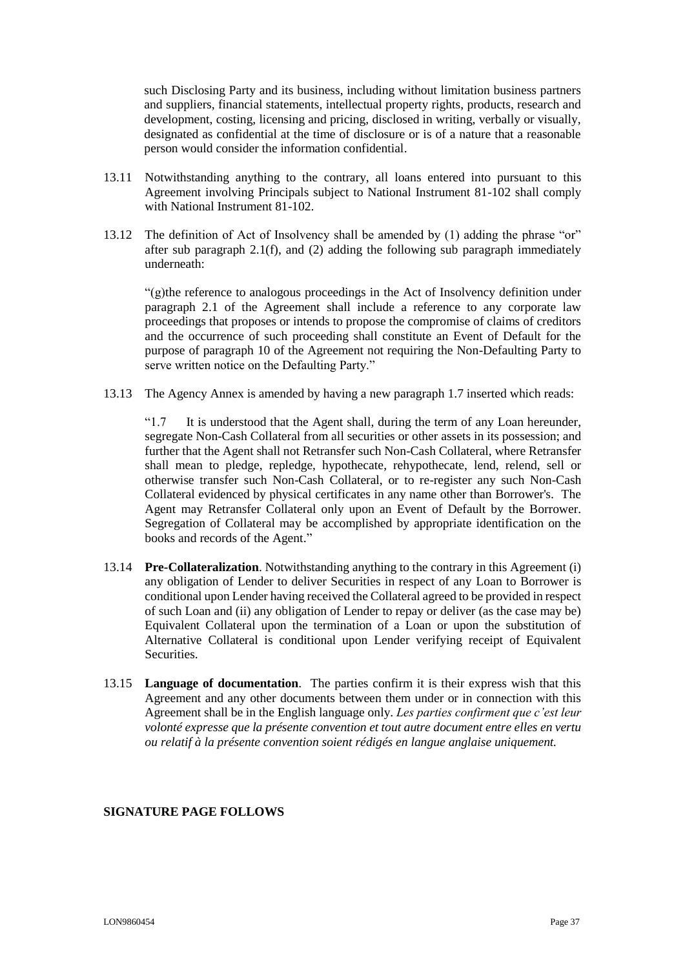such Disclosing Party and its business, including without limitation business partners and suppliers, financial statements, intellectual property rights, products, research and development, costing, licensing and pricing, disclosed in writing, verbally or visually, designated as confidential at the time of disclosure or is of a nature that a reasonable person would consider the information confidential.

- 13.11 Notwithstanding anything to the contrary, all loans entered into pursuant to this Agreement involving Principals subject to National Instrument 81-102 shall comply with National Instrument 81-102.
- 13.12 The definition of Act of Insolvency shall be amended by (1) adding the phrase "or" after sub paragraph 2.1(f), and (2) adding the following sub paragraph immediately underneath:

"(g)the reference to analogous proceedings in the Act of Insolvency definition under paragraph 2.1 of the Agreement shall include a reference to any corporate law proceedings that proposes or intends to propose the compromise of claims of creditors and the occurrence of such proceeding shall constitute an Event of Default for the purpose of paragraph 10 of the Agreement not requiring the Non-Defaulting Party to serve written notice on the Defaulting Party."

13.13 The Agency Annex is amended by having a new paragraph 1.7 inserted which reads:

"1.7 It is understood that the Agent shall, during the term of any Loan hereunder, segregate Non-Cash Collateral from all securities or other assets in its possession; and further that the Agent shall not Retransfer such Non-Cash Collateral, where Retransfer shall mean to pledge, repledge, hypothecate, rehypothecate, lend, relend, sell or otherwise transfer such Non-Cash Collateral, or to re-register any such Non-Cash Collateral evidenced by physical certificates in any name other than Borrower's. The Agent may Retransfer Collateral only upon an Event of Default by the Borrower. Segregation of Collateral may be accomplished by appropriate identification on the books and records of the Agent."

- 13.14 **Pre-Collateralization**. Notwithstanding anything to the contrary in this Agreement (i) any obligation of Lender to deliver Securities in respect of any Loan to Borrower is conditional upon Lender having received the Collateral agreed to be provided in respect of such Loan and (ii) any obligation of Lender to repay or deliver (as the case may be) Equivalent Collateral upon the termination of a Loan or upon the substitution of Alternative Collateral is conditional upon Lender verifying receipt of Equivalent Securities.
- 13.15 **Language of documentation**. The parties confirm it is their express wish that this Agreement and any other documents between them under or in connection with this Agreement shall be in the English language only. *Les parties confirment que c'est leur volonté expresse que la présente convention et tout autre document entre elles en vertu ou relatif à la présente convention soient rédigés en langue anglaise uniquement.*

## **SIGNATURE PAGE FOLLOWS**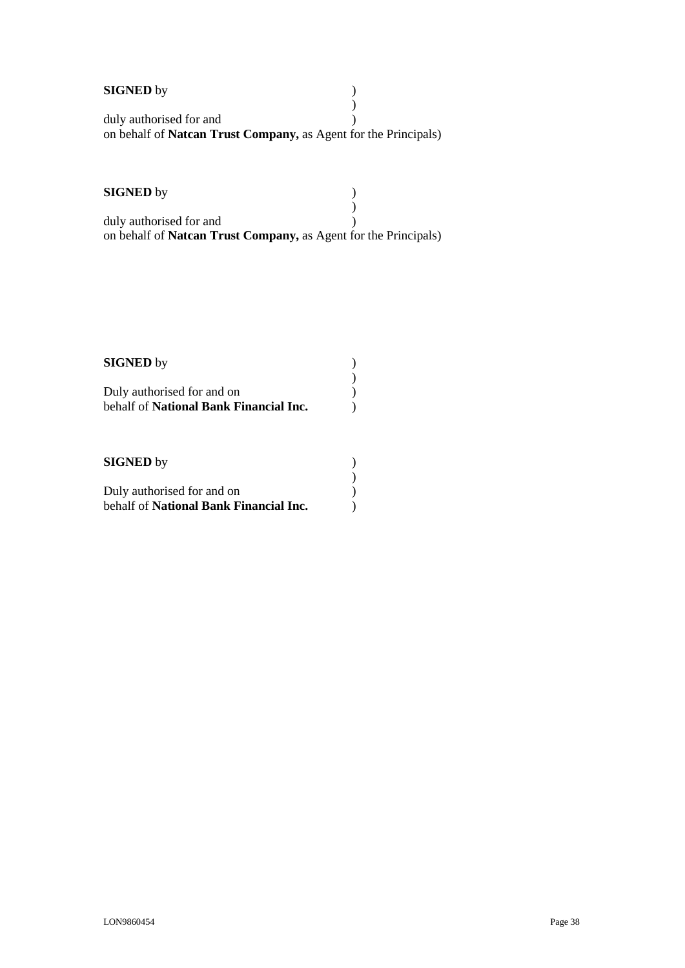| <b>SIGNED</b> by                                                        |  |
|-------------------------------------------------------------------------|--|
|                                                                         |  |
| duly authorised for and                                                 |  |
| on behalf of <b>Natcan Trust Company</b> , as Agent for the Principals) |  |

# **SIGNED** by )

 $\left(\begin{array}{c} 1 \\ 0 \end{array}\right)$ duly authorised for and () on behalf of **Natcan Trust Company,** as Agent for the Principals)

) ) ) ) )

| <b>SIGNED</b> by                       |  |
|----------------------------------------|--|
| Duly authorised for and on             |  |
| behalf of National Bank Financial Inc. |  |

## **SIGNED** by )

| Duly authorised for and on                    |  |
|-----------------------------------------------|--|
| behalf of <b>National Bank Financial Inc.</b> |  |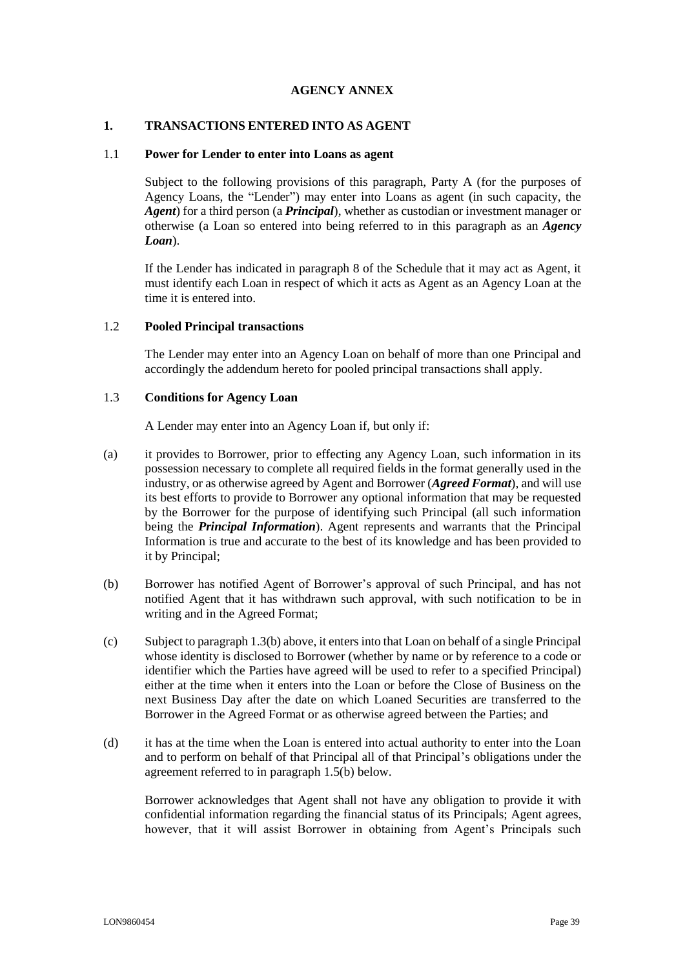## **AGENCY ANNEX**

#### <span id="page-38-0"></span>**1. TRANSACTIONS ENTERED INTO AS AGENT**

#### 1.1 **Power for Lender to enter into Loans as agent**

Subject to the following provisions of this paragraph, Party A (for the purposes of Agency Loans, the "Lender") may enter into Loans as agent (in such capacity, the *Agent*) for a third person (a *Principal*), whether as custodian or investment manager or otherwise (a Loan so entered into being referred to in this paragraph as an *Agency Loan*).

If the Lender has indicated in paragraph 8 of the Schedule that it may act as Agent, it must identify each Loan in respect of which it acts as Agent as an Agency Loan at the time it is entered into.

#### 1.2 **Pooled Principal transactions**

The Lender may enter into an Agency Loan on behalf of more than one Principal and accordingly the addendum hereto for pooled principal transactions shall apply.

#### 1.3 **Conditions for Agency Loan**

A Lender may enter into an Agency Loan if, but only if:

- (a) it provides to Borrower, prior to effecting any Agency Loan, such information in its possession necessary to complete all required fields in the format generally used in the industry, or as otherwise agreed by Agent and Borrower (*Agreed Format*), and will use its best efforts to provide to Borrower any optional information that may be requested by the Borrower for the purpose of identifying such Principal (all such information being the *Principal Information*). Agent represents and warrants that the Principal Information is true and accurate to the best of its knowledge and has been provided to it by Principal;
- (b) Borrower has notified Agent of Borrower's approval of such Principal, and has not notified Agent that it has withdrawn such approval, with such notification to be in writing and in the Agreed Format;
- (c) Subject to paragraph 1.3(b) above, it enters into that Loan on behalf of a single Principal whose identity is disclosed to Borrower (whether by name or by reference to a code or identifier which the Parties have agreed will be used to refer to a specified Principal) either at the time when it enters into the Loan or before the Close of Business on the next Business Day after the date on which Loaned Securities are transferred to the Borrower in the Agreed Format or as otherwise agreed between the Parties; and
- (d) it has at the time when the Loan is entered into actual authority to enter into the Loan and to perform on behalf of that Principal all of that Principal's obligations under the agreement referred to in paragraph [1.5\(b\) below.](#page-39-0)

Borrower acknowledges that Agent shall not have any obligation to provide it with confidential information regarding the financial status of its Principals; Agent agrees, however, that it will assist Borrower in obtaining from Agent's Principals such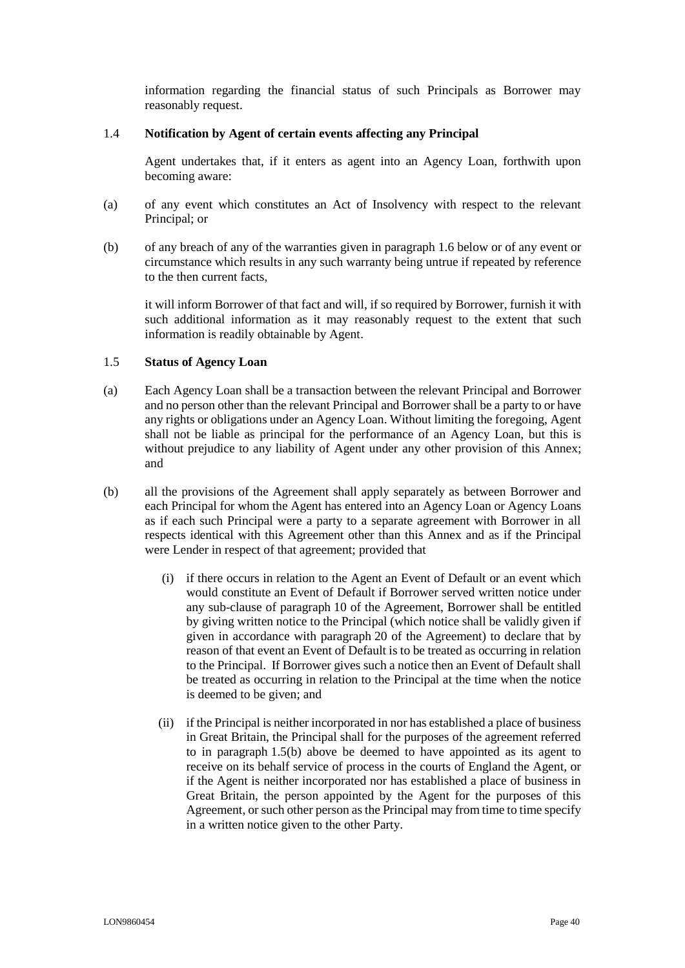information regarding the financial status of such Principals as Borrower may reasonably request.

#### 1.4 **Notification by Agent of certain events affecting any Principal**

Agent undertakes that, if it enters as agent into an Agency Loan, forthwith upon becoming aware:

- (a) of any event which constitutes an Act of Insolvency with respect to the relevant Principal; or
- (b) of any breach of any of the warranties given in paragraph [1.6 below](#page-40-0) or of any event or circumstance which results in any such warranty being untrue if repeated by reference to the then current facts,

it will inform Borrower of that fact and will, if so required by Borrower, furnish it with such additional information as it may reasonably request to the extent that such information is readily obtainable by Agent.

## <span id="page-39-1"></span>1.5 **Status of Agency Loan**

- (a) Each Agency Loan shall be a transaction between the relevant Principal and Borrower and no person other than the relevant Principal and Borrower shall be a party to or have any rights or obligations under an Agency Loan. Without limiting the foregoing, Agent shall not be liable as principal for the performance of an Agency Loan, but this is without prejudice to any liability of Agent under any other provision of this Annex; and
- <span id="page-39-0"></span>(b) all the provisions of the Agreement shall apply separately as between Borrower and each Principal for whom the Agent has entered into an Agency Loan or Agency Loans as if each such Principal were a party to a separate agreement with Borrower in all respects identical with this Agreement other than this Annex and as if the Principal were Lender in respect of that agreement; provided that
	- (i) if there occurs in relation to the Agent an Event of Default or an event which would constitute an Event of Default if Borrower served written notice under any sub-clause of paragraph [10](#page-17-0) of the Agreement, Borrower shall be entitled by giving written notice to the Principal (which notice shall be validly given if given in accordance with paragraph [20](#page-25-2) of the Agreement) to declare that by reason of that event an Event of Default is to be treated as occurring in relation to the Principal. If Borrower gives such a notice then an Event of Default shall be treated as occurring in relation to the Principal at the time when the notice is deemed to be given; and
	- (ii) if the Principal is neither incorporated in nor has established a place of business in Great Britain, the Principal shall for the purposes of the agreement referred to in paragraph [1.5](#page-39-1)[\(b\) above](#page-39-0) be deemed to have appointed as its agent to receive on its behalf service of process in the courts of England the Agent, or if the Agent is neither incorporated nor has established a place of business in Great Britain, the person appointed by the Agent for the purposes of this Agreement, or such other person as the Principal may from time to time specify in a written notice given to the other Party.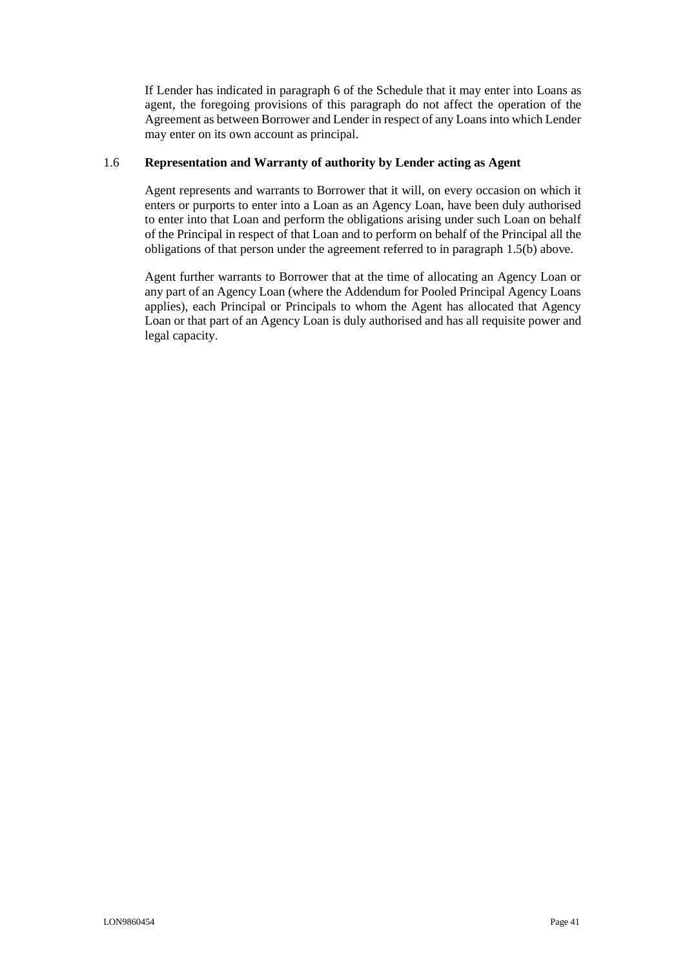If Lender has indicated in paragraph 6 of the Schedule that it may enter into Loans as agent, the foregoing provisions of this paragraph do not affect the operation of the Agreement as between Borrower and Lender in respect of any Loans into which Lender may enter on its own account as principal.

#### <span id="page-40-0"></span>1.6 **Representation and Warranty of authority by Lender acting as Agent**

Agent represents and warrants to Borrower that it will, on every occasion on which it enters or purports to enter into a Loan as an Agency Loan, have been duly authorised to enter into that Loan and perform the obligations arising under such Loan on behalf of the Principal in respect of that Loan and to perform on behalf of the Principal all the obligations of that person under the agreement referred to in paragraph [1.5\(b\)](#page-39-0) above.

Agent further warrants to Borrower that at the time of allocating an Agency Loan or any part of an Agency Loan (where the Addendum for Pooled Principal Agency Loans applies), each Principal or Principals to whom the Agent has allocated that Agency Loan or that part of an Agency Loan is duly authorised and has all requisite power and legal capacity.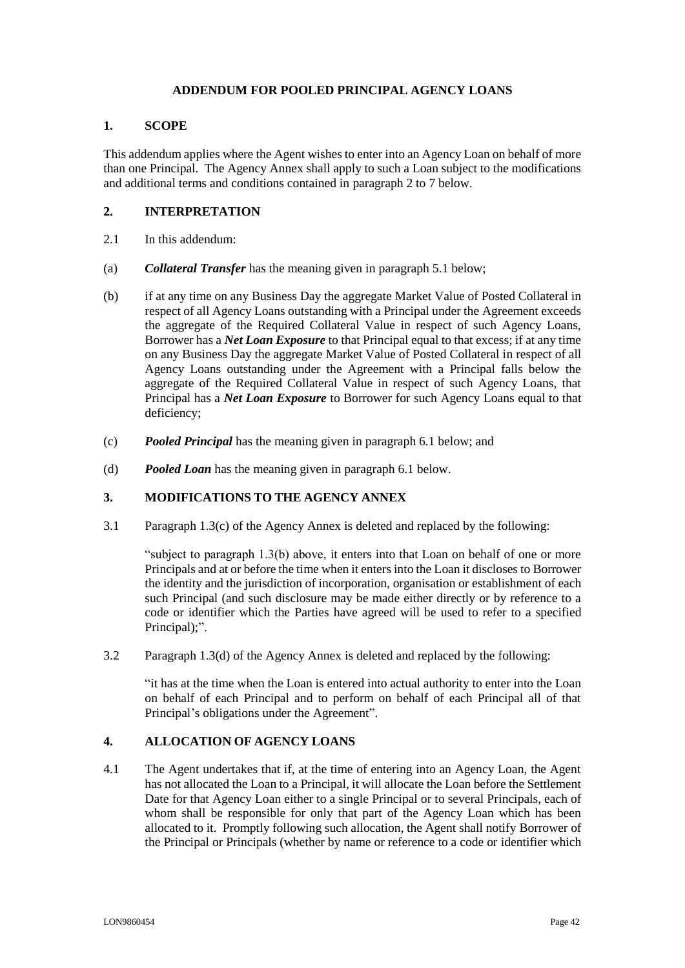## **ADDENDUM FOR POOLED PRINCIPAL AGENCY LOANS**

#### <span id="page-41-0"></span>**1. SCOPE**

This addendum applies where the Agent wishes to enter into an Agency Loan on behalf of more than one Principal. The Agency Annex shall apply to such a Loan subject to the modifications and additional terms and conditions contained in paragraph [2](#page-41-1) to [7 below.](#page-43-0)

## <span id="page-41-1"></span>**2. INTERPRETATION**

- 2.1 In this addendum:
- (a) *Collateral Transfer* has the meaning given in paragraph [5.1](#page-42-0) below;
- (b) if at any time on any Business Day the aggregate Market Value of Posted Collateral in respect of all Agency Loans outstanding with a Principal under the Agreement exceeds the aggregate of the Required Collateral Value in respect of such Agency Loans, Borrower has a *Net Loan Exposure* to that Principal equal to that excess; if at any time on any Business Day the aggregate Market Value of Posted Collateral in respect of all Agency Loans outstanding under the Agreement with a Principal falls below the aggregate of the Required Collateral Value in respect of such Agency Loans, that Principal has a *Net Loan Exposure* to Borrower for such Agency Loans equal to that deficiency;
- (c) *Pooled Principal* has the meaning given in paragraph 6.1 below; and
- (d) *Pooled Loan* has the meaning given in paragraph 6.1 below.

#### **3. MODIFICATIONS TO THE AGENCY ANNEX**

3.1 Paragraph 1.3(c) of the Agency Annex is deleted and replaced by the following:

"subject to paragraph 1.3(b) above, it enters into that Loan on behalf of one or more Principals and at or before the time when it enters into the Loan it discloses to Borrower the identity and the jurisdiction of incorporation, organisation or establishment of each such Principal (and such disclosure may be made either directly or by reference to a code or identifier which the Parties have agreed will be used to refer to a specified Principal);".

3.2 Paragraph 1.3(d) of the Agency Annex is deleted and replaced by the following:

"it has at the time when the Loan is entered into actual authority to enter into the Loan on behalf of each Principal and to perform on behalf of each Principal all of that Principal's obligations under the Agreement".

## **4. ALLOCATION OF AGENCY LOANS**

<span id="page-41-2"></span>4.1 The Agent undertakes that if, at the time of entering into an Agency Loan, the Agent has not allocated the Loan to a Principal, it will allocate the Loan before the Settlement Date for that Agency Loan either to a single Principal or to several Principals, each of whom shall be responsible for only that part of the Agency Loan which has been allocated to it. Promptly following such allocation, the Agent shall notify Borrower of the Principal or Principals (whether by name or reference to a code or identifier which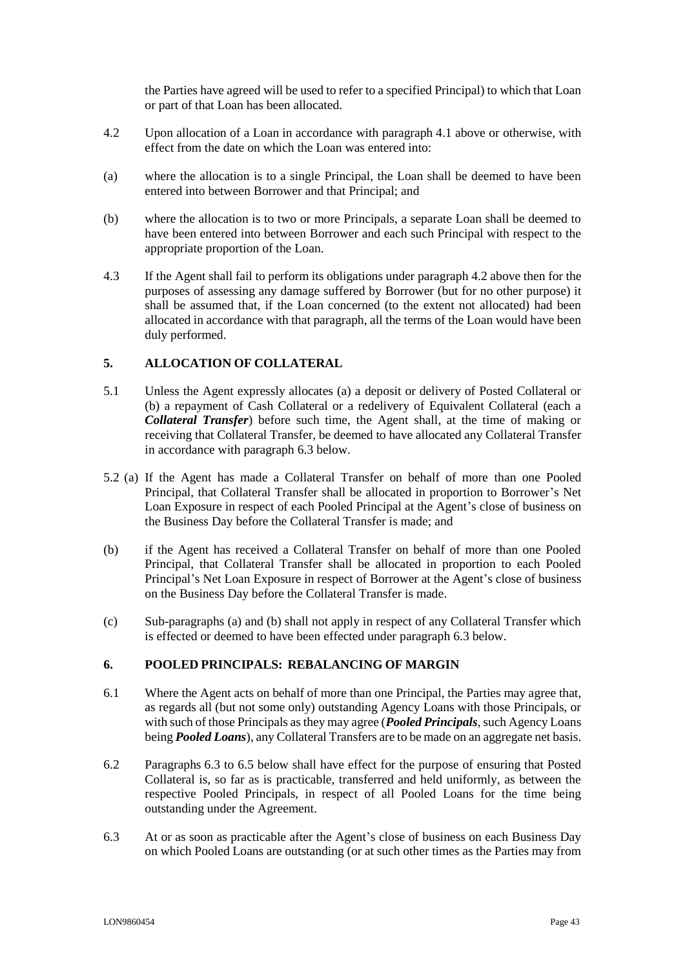the Parties have agreed will be used to refer to a specified Principal) to which that Loan or part of that Loan has been allocated.

- <span id="page-42-1"></span>4.2 Upon allocation of a Loan in accordance with paragraph [4.1](#page-41-2) above or otherwise, with effect from the date on which the Loan was entered into:
- (a) where the allocation is to a single Principal, the Loan shall be deemed to have been entered into between Borrower and that Principal; and
- (b) where the allocation is to two or more Principals, a separate Loan shall be deemed to have been entered into between Borrower and each such Principal with respect to the appropriate proportion of the Loan.
- 4.3 If the Agent shall fail to perform its obligations under paragraph [4.2](#page-42-1) above then for the purposes of assessing any damage suffered by Borrower (but for no other purpose) it shall be assumed that, if the Loan concerned (to the extent not allocated) had been allocated in accordance with that paragraph, all the terms of the Loan would have been duly performed.

## **5. ALLOCATION OF COLLATERAL**

- <span id="page-42-0"></span>5.1 Unless the Agent expressly allocates (a) a deposit or delivery of Posted Collateral or (b) a repayment of Cash Collateral or a redelivery of Equivalent Collateral (each a *Collateral Transfer*) before such time, the Agent shall, at the time of making or receiving that Collateral Transfer, be deemed to have allocated any Collateral Transfer in accordance with paragraph [6.3 below.](#page-42-2)
- <span id="page-42-3"></span>5.2 (a) If the Agent has made a Collateral Transfer on behalf of more than one Pooled Principal, that Collateral Transfer shall be allocated in proportion to Borrower's Net Loan Exposure in respect of each Pooled Principal at the Agent's close of business on the Business Day before the Collateral Transfer is made; and
- <span id="page-42-4"></span>(b) if the Agent has received a Collateral Transfer on behalf of more than one Pooled Principal, that Collateral Transfer shall be allocated in proportion to each Pooled Principal's Net Loan Exposure in respect of Borrower at the Agent's close of business on the Business Day before the Collateral Transfer is made.
- (c) Sub-paragraphs [\(a\)](#page-42-3) and [\(b\)](#page-42-4) shall not apply in respect of any Collateral Transfer which is effected or deemed to have been effected under paragraph [6.3 below.](#page-42-2)

## **6. POOLED PRINCIPALS: REBALANCING OF MARGIN**

- 6.1 Where the Agent acts on behalf of more than one Principal, the Parties may agree that, as regards all (but not some only) outstanding Agency Loans with those Principals, or with such of those Principals as they may agree (*Pooled Principals*, such Agency Loans being *Pooled Loans*), any Collateral Transfers are to be made on an aggregate net basis.
- 6.2 Paragraphs [6.3](#page-42-2) to [6.5 below](#page-43-1) shall have effect for the purpose of ensuring that Posted Collateral is, so far as is practicable, transferred and held uniformly, as between the respective Pooled Principals, in respect of all Pooled Loans for the time being outstanding under the Agreement.
- <span id="page-42-2"></span>6.3 At or as soon as practicable after the Agent's close of business on each Business Day on which Pooled Loans are outstanding (or at such other times as the Parties may from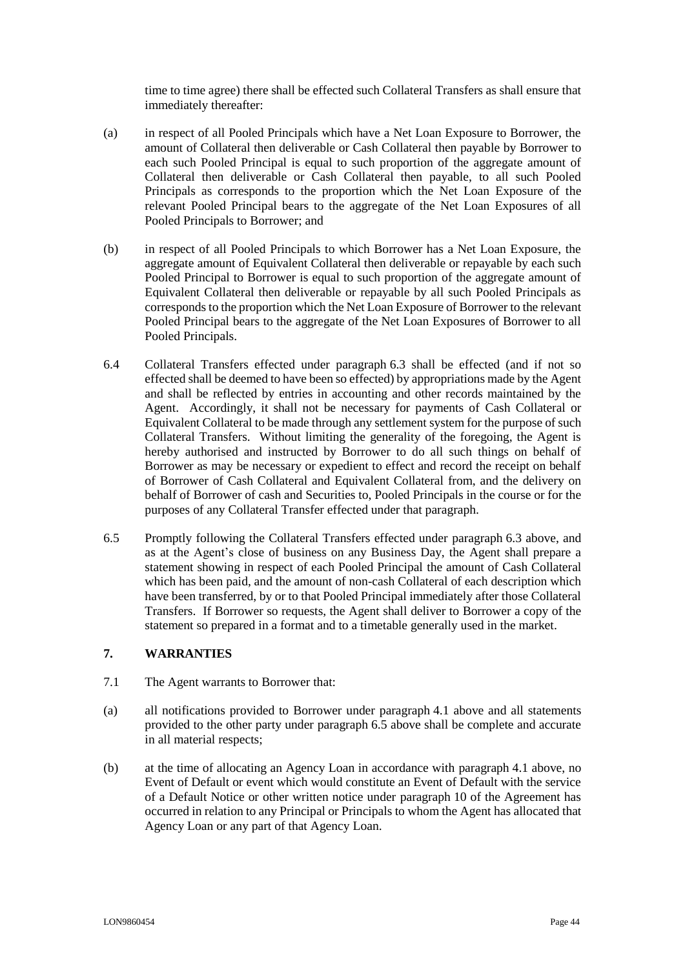time to time agree) there shall be effected such Collateral Transfers as shall ensure that immediately thereafter:

- (a) in respect of all Pooled Principals which have a Net Loan Exposure to Borrower, the amount of Collateral then deliverable or Cash Collateral then payable by Borrower to each such Pooled Principal is equal to such proportion of the aggregate amount of Collateral then deliverable or Cash Collateral then payable, to all such Pooled Principals as corresponds to the proportion which the Net Loan Exposure of the relevant Pooled Principal bears to the aggregate of the Net Loan Exposures of all Pooled Principals to Borrower; and
- (b) in respect of all Pooled Principals to which Borrower has a Net Loan Exposure, the aggregate amount of Equivalent Collateral then deliverable or repayable by each such Pooled Principal to Borrower is equal to such proportion of the aggregate amount of Equivalent Collateral then deliverable or repayable by all such Pooled Principals as corresponds to the proportion which the Net Loan Exposure of Borrower to the relevant Pooled Principal bears to the aggregate of the Net Loan Exposures of Borrower to all Pooled Principals.
- 6.4 Collateral Transfers effected under paragraph [6.3](#page-42-2) shall be effected (and if not so effected shall be deemed to have been so effected) by appropriations made by the Agent and shall be reflected by entries in accounting and other records maintained by the Agent. Accordingly, it shall not be necessary for payments of Cash Collateral or Equivalent Collateral to be made through any settlement system for the purpose of such Collateral Transfers. Without limiting the generality of the foregoing, the Agent is hereby authorised and instructed by Borrower to do all such things on behalf of Borrower as may be necessary or expedient to effect and record the receipt on behalf of Borrower of Cash Collateral and Equivalent Collateral from, and the delivery on behalf of Borrower of cash and Securities to, Pooled Principals in the course or for the purposes of any Collateral Transfer effected under that paragraph.
- <span id="page-43-1"></span>6.5 Promptly following the Collateral Transfers effected under paragraph [6.3](#page-42-2) above, and as at the Agent's close of business on any Business Day, the Agent shall prepare a statement showing in respect of each Pooled Principal the amount of Cash Collateral which has been paid, and the amount of non-cash Collateral of each description which have been transferred, by or to that Pooled Principal immediately after those Collateral Transfers. If Borrower so requests, the Agent shall deliver to Borrower a copy of the statement so prepared in a format and to a timetable generally used in the market.

## <span id="page-43-0"></span>**7. WARRANTIES**

- 7.1 The Agent warrants to Borrower that:
- (a) all notifications provided to Borrower under paragraph [4.1](#page-41-2) above and all statements provided to the other party under paragraph [6.5](#page-43-1) above shall be complete and accurate in all material respects;
- (b) at the time of allocating an Agency Loan in accordance with paragraph [4.1](#page-41-2) above, no Event of Default or event which would constitute an Event of Default with the service of a Default Notice or other written notice under paragraph 10 of the Agreement has occurred in relation to any Principal or Principals to whom the Agent has allocated that Agency Loan or any part of that Agency Loan.